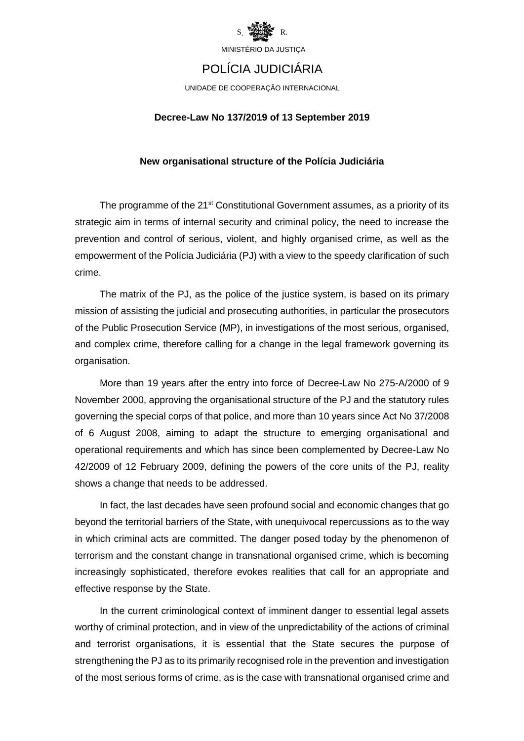

# POLÍCIA JUDICIÁRIA

UNIDADE DE COOPERAÇÃO INTERNACIONAL

#### **Decree-Law No 137/2019 of 13 September 2019**

#### **New organisational structure of the Polícia Judiciária**

The programme of the 21<sup>st</sup> Constitutional Government assumes, as a priority of its strategic aim in terms of internal security and criminal policy, the need to increase the prevention and control of serious, violent, and highly organised crime, as well as the empowerment of the Polícia Judiciária (PJ) with a view to the speedy clarification of such crime.

The matrix of the PJ, as the police of the justice system, is based on its primary mission of assisting the judicial and prosecuting authorities, in particular the prosecutors of the Public Prosecution Service (MP), in investigations of the most serious, organised, and complex crime, therefore calling for a change in the legal framework governing its organisation.

More than 19 years after the entry into force of Decree-Law No 275-A/2000 of 9 November 2000, approving the organisational structure of the PJ and the statutory rules governing the special corps of that police, and more than 10 years since Act No 37/2008 of 6 August 2008, aiming to adapt the structure to emerging organisational and operational requirements and which has since been complemented by Decree-Law No 42/2009 of 12 February 2009, defining the powers of the core units of the PJ, reality shows a change that needs to be addressed.

In fact, the last decades have seen profound social and economic changes that go beyond the territorial barriers of the State, with unequivocal repercussions as to the way in which criminal acts are committed. The danger posed today by the phenomenon of terrorism and the constant change in transnational organised crime, which is becoming increasingly sophisticated, therefore evokes realities that call for an appropriate and effective response by the State.

In the current criminological context of imminent danger to essential legal assets worthy of criminal protection, and in view of the unpredictability of the actions of criminal and terrorist organisations, it is essential that the State secures the purpose of strengthening the PJ as to its primarily recognised role in the prevention and investigation of the most serious forms of crime, as is the case with transnational organised crime and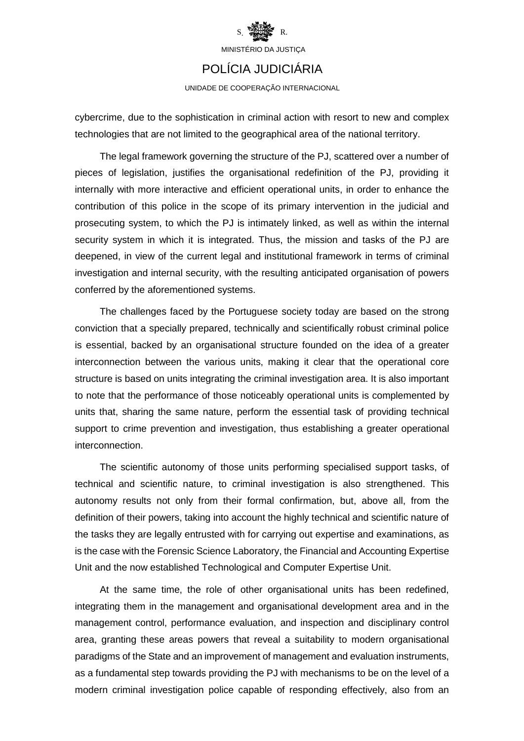

### POLÍCIA JUDICIÁRIA

UNIDADE DE COOPERAÇÃO INTERNACIONAL

cybercrime, due to the sophistication in criminal action with resort to new and complex technologies that are not limited to the geographical area of the national territory.

The legal framework governing the structure of the PJ, scattered over a number of pieces of legislation, justifies the organisational redefinition of the PJ, providing it internally with more interactive and efficient operational units, in order to enhance the contribution of this police in the scope of its primary intervention in the judicial and prosecuting system, to which the PJ is intimately linked, as well as within the internal security system in which it is integrated. Thus, the mission and tasks of the PJ are deepened, in view of the current legal and institutional framework in terms of criminal investigation and internal security, with the resulting anticipated organisation of powers conferred by the aforementioned systems.

The challenges faced by the Portuguese society today are based on the strong conviction that a specially prepared, technically and scientifically robust criminal police is essential, backed by an organisational structure founded on the idea of a greater interconnection between the various units, making it clear that the operational core structure is based on units integrating the criminal investigation area. It is also important to note that the performance of those noticeably operational units is complemented by units that, sharing the same nature, perform the essential task of providing technical support to crime prevention and investigation, thus establishing a greater operational interconnection.

The scientific autonomy of those units performing specialised support tasks, of technical and scientific nature, to criminal investigation is also strengthened. This autonomy results not only from their formal confirmation, but, above all, from the definition of their powers, taking into account the highly technical and scientific nature of the tasks they are legally entrusted with for carrying out expertise and examinations, as is the case with the Forensic Science Laboratory, the Financial and Accounting Expertise Unit and the now established Technological and Computer Expertise Unit.

At the same time, the role of other organisational units has been redefined, integrating them in the management and organisational development area and in the management control, performance evaluation, and inspection and disciplinary control area, granting these areas powers that reveal a suitability to modern organisational paradigms of the State and an improvement of management and evaluation instruments, as a fundamental step towards providing the PJ with mechanisms to be on the level of a modern criminal investigation police capable of responding effectively, also from an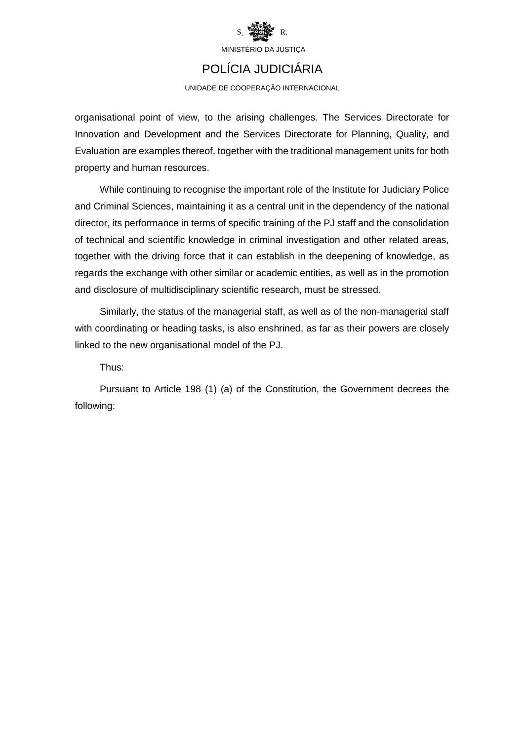

## POLÍCIA JUDICIÁRIA

UNIDADE DE COOPERAÇÃO INTERNACIONAL

organisational point of view, to the arising challenges. The Services Directorate for Innovation and Development and the Services Directorate for Planning, Quality, and Evaluation are examples thereof, together with the traditional management units for both property and human resources.

While continuing to recognise the important role of the Institute for Judiciary Police and Criminal Sciences, maintaining it as a central unit in the dependency of the national director, its performance in terms of specific training of the PJ staff and the consolidation of technical and scientific knowledge in criminal investigation and other related areas, together with the driving force that it can establish in the deepening of knowledge, as regards the exchange with other similar or academic entities, as well as in the promotion and disclosure of multidisciplinary scientific research, must be stressed.

Similarly, the status of the managerial staff, as well as of the non-managerial staff with coordinating or heading tasks, is also enshrined, as far as their powers are closely linked to the new organisational model of the PJ.

Thus:

Pursuant to Article 198 (1) (a) of the Constitution, the Government decrees the following: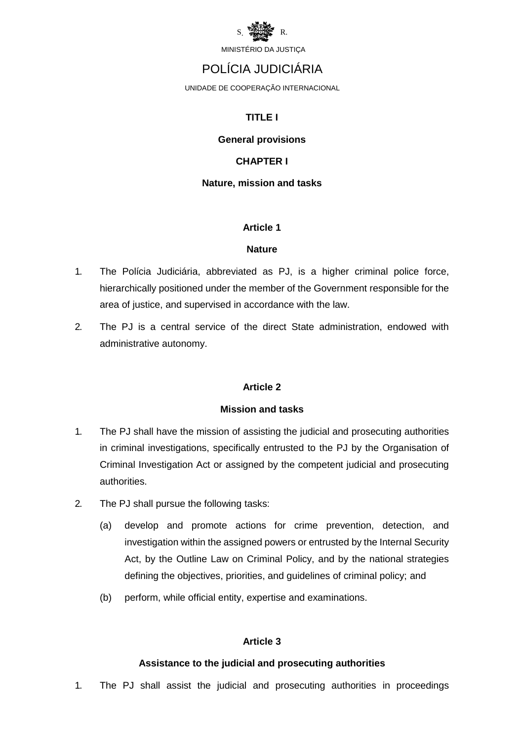

### POLÍCIA JUDICIÁRIA

UNIDADE DE COOPERAÇÃO INTERNACIONAL

#### **TITLE I**

#### **General provisions**

#### **CHAPTER I**

#### **Nature, mission and tasks**

#### **Article 1**

#### **Nature**

- 1. The Polícia Judiciária, abbreviated as PJ, is a higher criminal police force, hierarchically positioned under the member of the Government responsible for the area of justice, and supervised in accordance with the law.
- 2. The PJ is a central service of the direct State administration, endowed with administrative autonomy.

#### **Article 2**

#### **Mission and tasks**

- 1. The PJ shall have the mission of assisting the judicial and prosecuting authorities in criminal investigations, specifically entrusted to the PJ by the Organisation of Criminal Investigation Act or assigned by the competent judicial and prosecuting authorities.
- 2. The PJ shall pursue the following tasks:
	- (a) develop and promote actions for crime prevention, detection, and investigation within the assigned powers or entrusted by the Internal Security Act, by the Outline Law on Criminal Policy, and by the national strategies defining the objectives, priorities, and guidelines of criminal policy; and
	- (b) perform, while official entity, expertise and examinations.

#### **Article 3**

#### **Assistance to the judicial and prosecuting authorities**

1. The PJ shall assist the judicial and prosecuting authorities in proceedings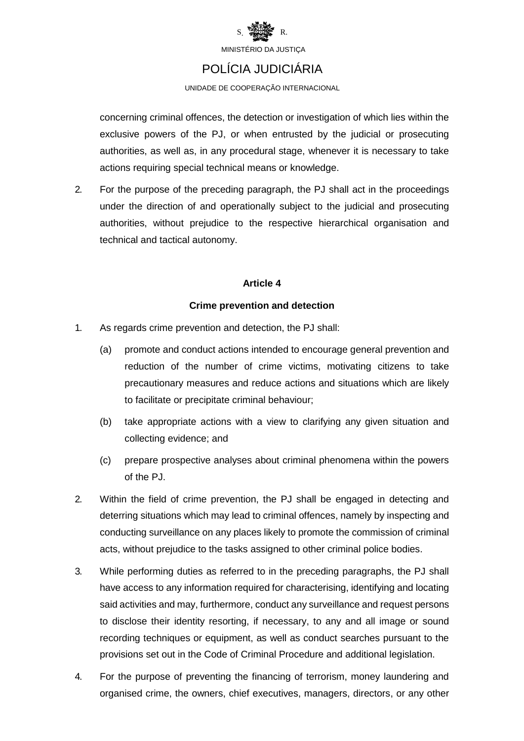

### POLÍCIA JUDICIÁRIA

UNIDADE DE COOPERAÇÃO INTERNACIONAL

concerning criminal offences, the detection or investigation of which lies within the exclusive powers of the PJ, or when entrusted by the judicial or prosecuting authorities, as well as, in any procedural stage, whenever it is necessary to take actions requiring special technical means or knowledge.

2. For the purpose of the preceding paragraph, the PJ shall act in the proceedings under the direction of and operationally subject to the judicial and prosecuting authorities, without prejudice to the respective hierarchical organisation and technical and tactical autonomy.

#### **Article 4**

#### **Crime prevention and detection**

- 1. As regards crime prevention and detection, the PJ shall:
	- (a) promote and conduct actions intended to encourage general prevention and reduction of the number of crime victims, motivating citizens to take precautionary measures and reduce actions and situations which are likely to facilitate or precipitate criminal behaviour;
	- (b) take appropriate actions with a view to clarifying any given situation and collecting evidence; and
	- (c) prepare prospective analyses about criminal phenomena within the powers of the PJ.
- 2. Within the field of crime prevention, the PJ shall be engaged in detecting and deterring situations which may lead to criminal offences, namely by inspecting and conducting surveillance on any places likely to promote the commission of criminal acts, without prejudice to the tasks assigned to other criminal police bodies.
- 3. While performing duties as referred to in the preceding paragraphs, the PJ shall have access to any information required for characterising, identifying and locating said activities and may, furthermore, conduct any surveillance and request persons to disclose their identity resorting, if necessary, to any and all image or sound recording techniques or equipment, as well as conduct searches pursuant to the provisions set out in the Code of Criminal Procedure and additional legislation.
- 4. For the purpose of preventing the financing of terrorism, money laundering and organised crime, the owners, chief executives, managers, directors, or any other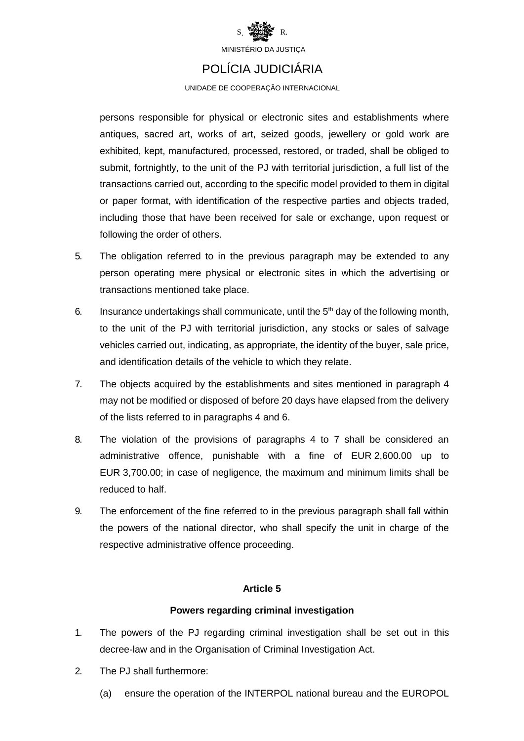

### POLÍCIA JUDICIÁRIA

UNIDADE DE COOPERAÇÃO INTERNACIONAL

persons responsible for physical or electronic sites and establishments where antiques, sacred art, works of art, seized goods, jewellery or gold work are exhibited, kept, manufactured, processed, restored, or traded, shall be obliged to submit, fortnightly, to the unit of the PJ with territorial jurisdiction, a full list of the transactions carried out, according to the specific model provided to them in digital or paper format, with identification of the respective parties and objects traded, including those that have been received for sale or exchange, upon request or following the order of others.

- 5. The obligation referred to in the previous paragraph may be extended to any person operating mere physical or electronic sites in which the advertising or transactions mentioned take place.
- 6. Insurance undertakings shall communicate, until the  $5<sup>th</sup>$  day of the following month, to the unit of the PJ with territorial jurisdiction, any stocks or sales of salvage vehicles carried out, indicating, as appropriate, the identity of the buyer, sale price, and identification details of the vehicle to which they relate.
- 7. The objects acquired by the establishments and sites mentioned in paragraph 4 may not be modified or disposed of before 20 days have elapsed from the delivery of the lists referred to in paragraphs 4 and 6.
- 8. The violation of the provisions of paragraphs 4 to 7 shall be considered an administrative offence, punishable with a fine of EUR 2,600.00 up to EUR 3,700.00; in case of negligence, the maximum and minimum limits shall be reduced to half.
- 9. The enforcement of the fine referred to in the previous paragraph shall fall within the powers of the national director, who shall specify the unit in charge of the respective administrative offence proceeding.

#### **Article 5**

#### **Powers regarding criminal investigation**

- 1. The powers of the PJ regarding criminal investigation shall be set out in this decree-law and in the Organisation of Criminal Investigation Act.
- 2. The PJ shall furthermore:
	- (a) ensure the operation of the INTERPOL national bureau and the EUROPOL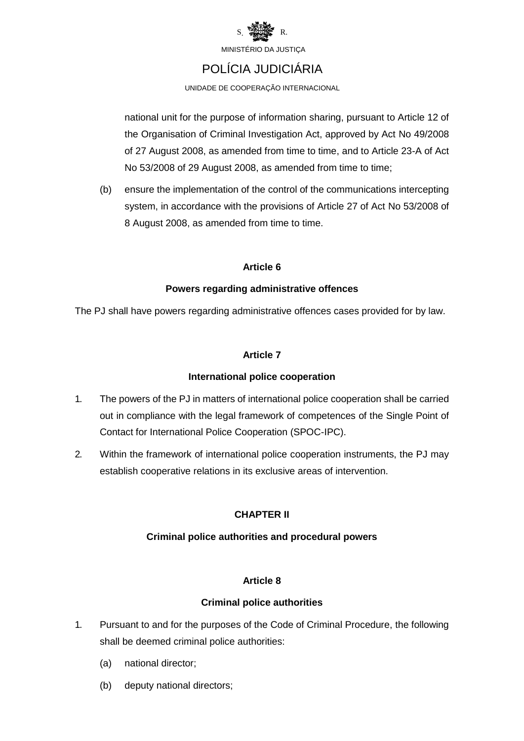

### POLÍCIA JUDICIÁRIA

UNIDADE DE COOPERAÇÃO INTERNACIONAL

national unit for the purpose of information sharing, pursuant to Article 12 of the Organisation of Criminal Investigation Act, approved by Act No 49/2008 of 27 August 2008, as amended from time to time, and to Article 23-A of Act No 53/2008 of 29 August 2008, as amended from time to time;

(b) ensure the implementation of the control of the communications intercepting system, in accordance with the provisions of Article 27 of Act No 53/2008 of 8 August 2008, as amended from time to time.

#### **Article 6**

#### **Powers regarding administrative offences**

The PJ shall have powers regarding administrative offences cases provided for by law.

#### **Article 7**

#### **International police cooperation**

- 1. The powers of the PJ in matters of international police cooperation shall be carried out in compliance with the legal framework of competences of the Single Point of Contact for International Police Cooperation (SPOC-IPC).
- 2. Within the framework of international police cooperation instruments, the PJ may establish cooperative relations in its exclusive areas of intervention.

#### **CHAPTER II**

#### **Criminal police authorities and procedural powers**

#### **Article 8**

#### **Criminal police authorities**

- 1. Pursuant to and for the purposes of the Code of Criminal Procedure, the following shall be deemed criminal police authorities:
	- (a) national director;
	- (b) deputy national directors;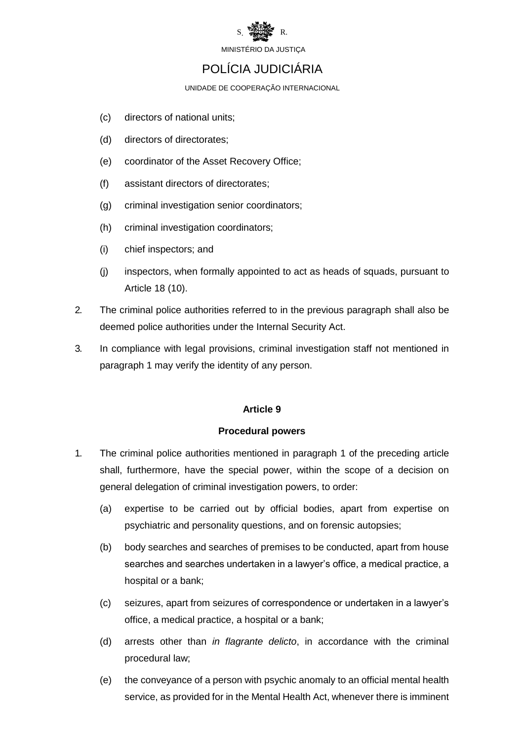

### POLÍCIA JUDICIÁRIA

UNIDADE DE COOPERAÇÃO INTERNACIONAL

- (c) directors of national units;
- (d) directors of directorates;
- (e) coordinator of the Asset Recovery Office;
- (f) assistant directors of directorates;
- (g) criminal investigation senior coordinators;
- (h) criminal investigation coordinators;
- (i) chief inspectors; and
- (j) inspectors, when formally appointed to act as heads of squads, pursuant to Article 18 (10).
- 2. The criminal police authorities referred to in the previous paragraph shall also be deemed police authorities under the Internal Security Act.
- 3. In compliance with legal provisions, criminal investigation staff not mentioned in paragraph 1 may verify the identity of any person.

#### **Article 9**

#### **Procedural powers**

- 1. The criminal police authorities mentioned in paragraph 1 of the preceding article shall, furthermore, have the special power, within the scope of a decision on general delegation of criminal investigation powers, to order:
	- (a) expertise to be carried out by official bodies, apart from expertise on psychiatric and personality questions, and on forensic autopsies;
	- (b) body searches and searches of premises to be conducted, apart from house searches and searches undertaken in a lawyer's office, a medical practice, a hospital or a bank;
	- (c) seizures, apart from seizures of correspondence or undertaken in a lawyer's office, a medical practice, a hospital or a bank;
	- (d) arrests other than *in flagrante delicto*, in accordance with the criminal procedural law;
	- (e) the conveyance of a person with psychic anomaly to an official mental health service, as provided for in the Mental Health Act, whenever there is imminent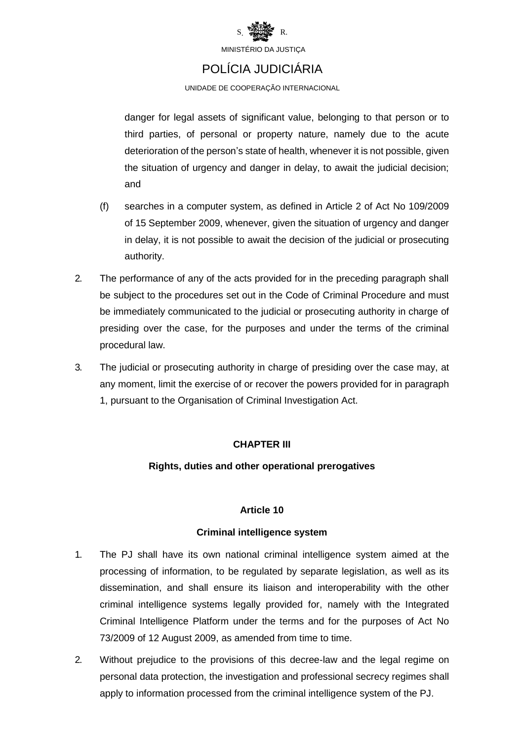

### POLÍCIA JUDICIÁRIA

UNIDADE DE COOPERAÇÃO INTERNACIONAL

danger for legal assets of significant value, belonging to that person or to third parties, of personal or property nature, namely due to the acute deterioration of the person's state of health, whenever it is not possible, given the situation of urgency and danger in delay, to await the judicial decision; and

- (f) searches in a computer system, as defined in Article 2 of Act No 109/2009 of 15 September 2009, whenever, given the situation of urgency and danger in delay, it is not possible to await the decision of the judicial or prosecuting authority.
- 2. The performance of any of the acts provided for in the preceding paragraph shall be subject to the procedures set out in the Code of Criminal Procedure and must be immediately communicated to the judicial or prosecuting authority in charge of presiding over the case, for the purposes and under the terms of the criminal procedural law.
- 3. The judicial or prosecuting authority in charge of presiding over the case may, at any moment, limit the exercise of or recover the powers provided for in paragraph 1, pursuant to the Organisation of Criminal Investigation Act.

#### **CHAPTER III**

#### **Rights, duties and other operational prerogatives**

#### **Article 10**

#### **Criminal intelligence system**

- 1. The PJ shall have its own national criminal intelligence system aimed at the processing of information, to be regulated by separate legislation, as well as its dissemination, and shall ensure its liaison and interoperability with the other criminal intelligence systems legally provided for, namely with the Integrated Criminal Intelligence Platform under the terms and for the purposes of Act No 73/2009 of 12 August 2009, as amended from time to time.
- 2. Without prejudice to the provisions of this decree-law and the legal regime on personal data protection, the investigation and professional secrecy regimes shall apply to information processed from the criminal intelligence system of the PJ.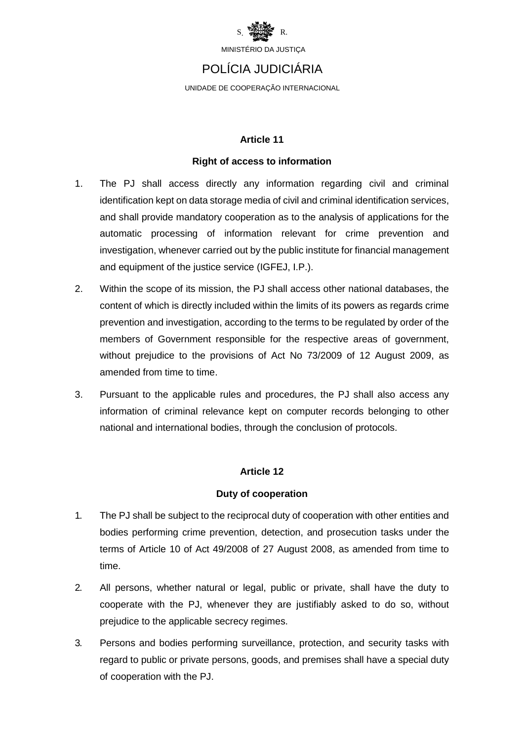

### POLÍCIA JUDICIÁRIA

UNIDADE DE COOPERAÇÃO INTERNACIONAL

#### **Article 11**

#### **Right of access to information**

- 1. The PJ shall access directly any information regarding civil and criminal identification kept on data storage media of civil and criminal identification services, and shall provide mandatory cooperation as to the analysis of applications for the automatic processing of information relevant for crime prevention and investigation, whenever carried out by the public institute for financial management and equipment of the justice service (IGFEJ, I.P.).
- 2. Within the scope of its mission, the PJ shall access other national databases, the content of which is directly included within the limits of its powers as regards crime prevention and investigation, according to the terms to be regulated by order of the members of Government responsible for the respective areas of government, without prejudice to the provisions of Act No 73/2009 of 12 August 2009, as amended from time to time.
- 3. Pursuant to the applicable rules and procedures, the PJ shall also access any information of criminal relevance kept on computer records belonging to other national and international bodies, through the conclusion of protocols.

#### **Article 12**

#### **Duty of cooperation**

- 1. The PJ shall be subject to the reciprocal duty of cooperation with other entities and bodies performing crime prevention, detection, and prosecution tasks under the terms of Article 10 of Act 49/2008 of 27 August 2008, as amended from time to time.
- 2. All persons, whether natural or legal, public or private, shall have the duty to cooperate with the PJ, whenever they are justifiably asked to do so, without prejudice to the applicable secrecy regimes.
- 3. Persons and bodies performing surveillance, protection, and security tasks with regard to public or private persons, goods, and premises shall have a special duty of cooperation with the PJ.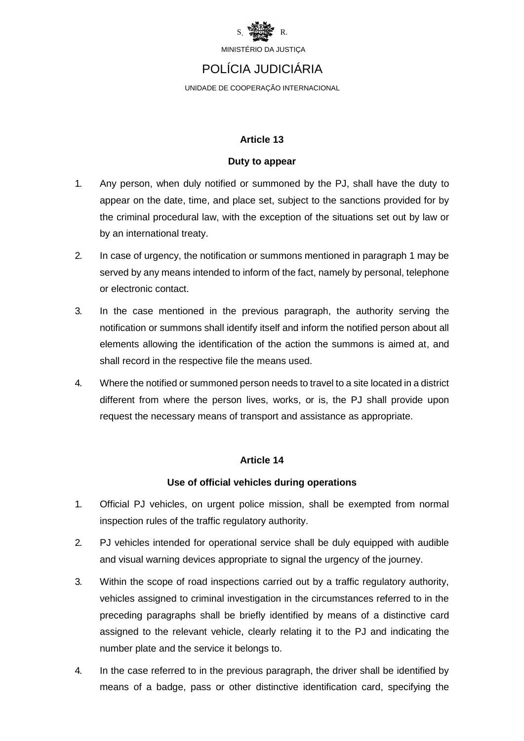

### POLÍCIA JUDICIÁRIA

UNIDADE DE COOPERAÇÃO INTERNACIONAL

#### **Article 13**

#### **Duty to appear**

- 1. Any person, when duly notified or summoned by the PJ, shall have the duty to appear on the date, time, and place set, subject to the sanctions provided for by the criminal procedural law, with the exception of the situations set out by law or by an international treaty.
- 2. In case of urgency, the notification or summons mentioned in paragraph 1 may be served by any means intended to inform of the fact, namely by personal, telephone or electronic contact.
- 3. In the case mentioned in the previous paragraph, the authority serving the notification or summons shall identify itself and inform the notified person about all elements allowing the identification of the action the summons is aimed at, and shall record in the respective file the means used.
- 4. Where the notified or summoned person needs to travel to a site located in a district different from where the person lives, works, or is, the PJ shall provide upon request the necessary means of transport and assistance as appropriate.

#### **Article 14**

#### **Use of official vehicles during operations**

- 1. Official PJ vehicles, on urgent police mission, shall be exempted from normal inspection rules of the traffic regulatory authority.
- 2. PJ vehicles intended for operational service shall be duly equipped with audible and visual warning devices appropriate to signal the urgency of the journey.
- 3. Within the scope of road inspections carried out by a traffic regulatory authority, vehicles assigned to criminal investigation in the circumstances referred to in the preceding paragraphs shall be briefly identified by means of a distinctive card assigned to the relevant vehicle, clearly relating it to the PJ and indicating the number plate and the service it belongs to.
- 4. In the case referred to in the previous paragraph, the driver shall be identified by means of a badge, pass or other distinctive identification card, specifying the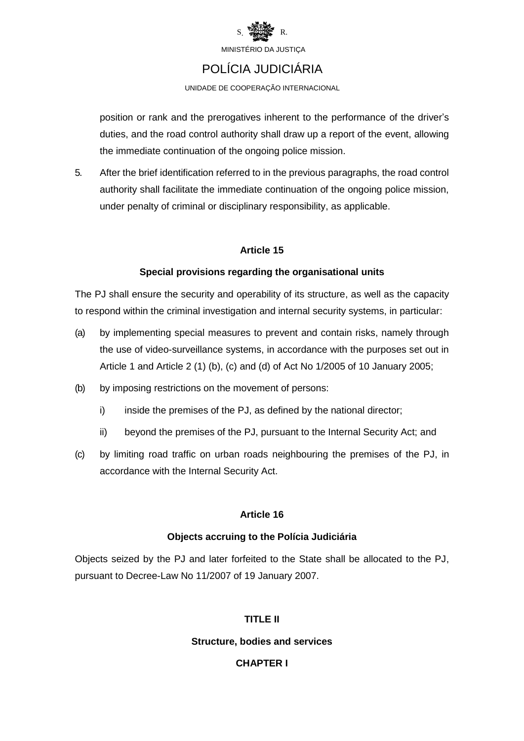

### POLÍCIA JUDICIÁRIA

UNIDADE DE COOPERAÇÃO INTERNACIONAL

position or rank and the prerogatives inherent to the performance of the driver's duties, and the road control authority shall draw up a report of the event, allowing the immediate continuation of the ongoing police mission.

5. After the brief identification referred to in the previous paragraphs, the road control authority shall facilitate the immediate continuation of the ongoing police mission, under penalty of criminal or disciplinary responsibility, as applicable.

#### **Article 15**

#### **Special provisions regarding the organisational units**

The PJ shall ensure the security and operability of its structure, as well as the capacity to respond within the criminal investigation and internal security systems, in particular:

- (a) by implementing special measures to prevent and contain risks, namely through the use of video-surveillance systems, in accordance with the purposes set out in Article 1 and Article 2 (1) (b), (c) and (d) of Act No 1/2005 of 10 January 2005;
- (b) by imposing restrictions on the movement of persons:
	- i) inside the premises of the PJ, as defined by the national director;
	- ii) beyond the premises of the PJ, pursuant to the Internal Security Act; and
- (c) by limiting road traffic on urban roads neighbouring the premises of the PJ, in accordance with the Internal Security Act.

#### **Article 16**

#### **Objects accruing to the Polícia Judiciária**

Objects seized by the PJ and later forfeited to the State shall be allocated to the PJ, pursuant to Decree-Law No 11/2007 of 19 January 2007.

#### **TITLE II**

#### **Structure, bodies and services**

#### **CHAPTER I**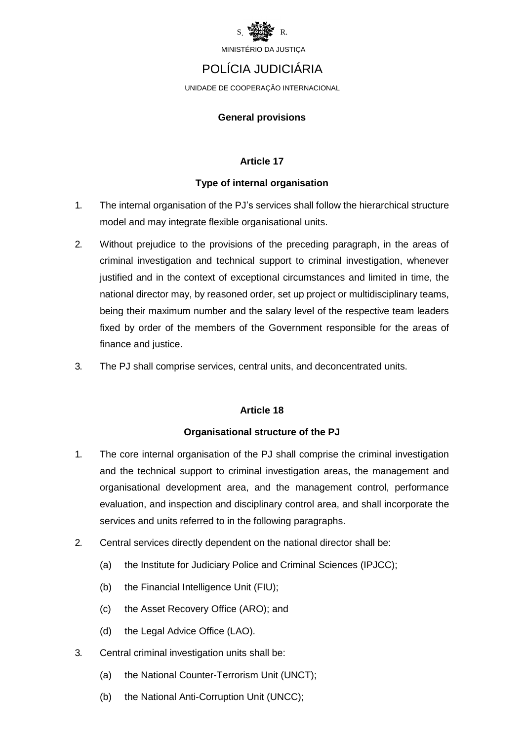

## POLÍCIA JUDICIÁRIA

UNIDADE DE COOPERAÇÃO INTERNACIONAL

#### **General provisions**

#### **Article 17**

#### **Type of internal organisation**

- 1. The internal organisation of the PJ's services shall follow the hierarchical structure model and may integrate flexible organisational units.
- 2. Without prejudice to the provisions of the preceding paragraph, in the areas of criminal investigation and technical support to criminal investigation, whenever justified and in the context of exceptional circumstances and limited in time, the national director may, by reasoned order, set up project or multidisciplinary teams, being their maximum number and the salary level of the respective team leaders fixed by order of the members of the Government responsible for the areas of finance and justice.
- 3. The PJ shall comprise services, central units, and deconcentrated units.

#### **Article 18**

#### **Organisational structure of the PJ**

- 1. The core internal organisation of the PJ shall comprise the criminal investigation and the technical support to criminal investigation areas, the management and organisational development area, and the management control, performance evaluation, and inspection and disciplinary control area, and shall incorporate the services and units referred to in the following paragraphs.
- 2. Central services directly dependent on the national director shall be:
	- (a) the Institute for Judiciary Police and Criminal Sciences (IPJCC);
	- (b) the Financial Intelligence Unit (FIU);
	- (c) the Asset Recovery Office (ARO); and
	- (d) the Legal Advice Office (LAO).
- 3. Central criminal investigation units shall be:
	- (a) the National Counter-Terrorism Unit (UNCT);
	- (b) the National Anti-Corruption Unit (UNCC);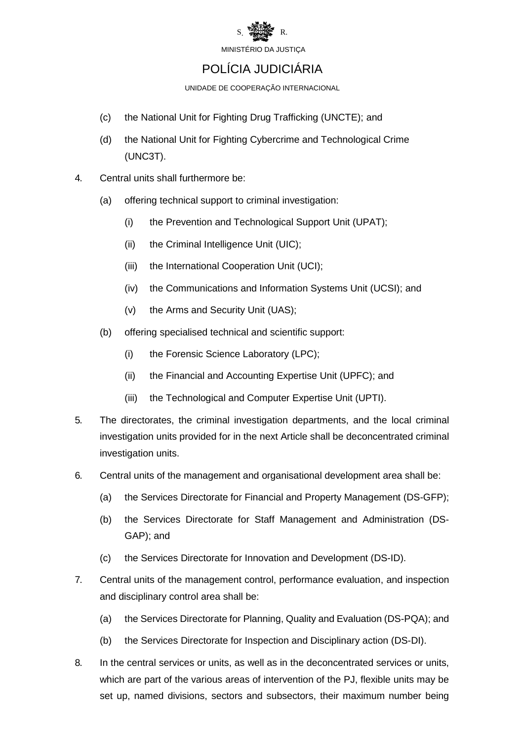

### POLÍCIA JUDICIÁRIA

UNIDADE DE COOPERAÇÃO INTERNACIONAL

- (c) the National Unit for Fighting Drug Trafficking (UNCTE); and
- (d) the National Unit for Fighting Cybercrime and Technological Crime (UNC3T).
- 4. Central units shall furthermore be:
	- (a) offering technical support to criminal investigation:
		- (i) the Prevention and Technological Support Unit (UPAT);
		- (ii) the Criminal Intelligence Unit (UIC);
		- (iii) the International Cooperation Unit (UCI);
		- (iv) the Communications and Information Systems Unit (UCSI); and
		- (v) the Arms and Security Unit (UAS);
	- (b) offering specialised technical and scientific support:
		- (i) the Forensic Science Laboratory (LPC);
		- (ii) the Financial and Accounting Expertise Unit (UPFC); and
		- (iii) the Technological and Computer Expertise Unit (UPTI).
- 5. The directorates, the criminal investigation departments, and the local criminal investigation units provided for in the next Article shall be deconcentrated criminal investigation units.
- 6. Central units of the management and organisational development area shall be:
	- (a) the Services Directorate for Financial and Property Management (DS-GFP);
	- (b) the Services Directorate for Staff Management and Administration (DS-GAP); and
	- (c) the Services Directorate for Innovation and Development (DS-ID).
- 7. Central units of the management control, performance evaluation, and inspection and disciplinary control area shall be:
	- (a) the Services Directorate for Planning, Quality and Evaluation (DS-PQA); and
	- (b) the Services Directorate for Inspection and Disciplinary action (DS-DI).
- 8. In the central services or units, as well as in the deconcentrated services or units, which are part of the various areas of intervention of the PJ, flexible units may be set up, named divisions, sectors and subsectors, their maximum number being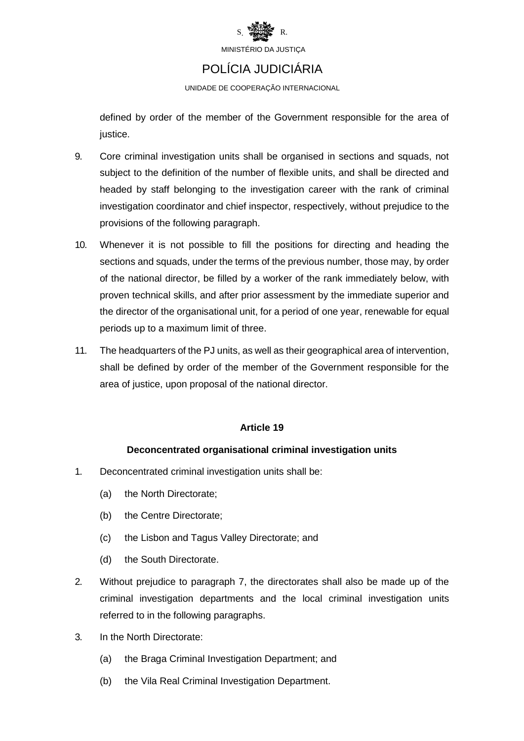

### POLÍCIA JUDICIÁRIA

UNIDADE DE COOPERAÇÃO INTERNACIONAL

defined by order of the member of the Government responsible for the area of justice.

- 9. Core criminal investigation units shall be organised in sections and squads, not subject to the definition of the number of flexible units, and shall be directed and headed by staff belonging to the investigation career with the rank of criminal investigation coordinator and chief inspector, respectively, without prejudice to the provisions of the following paragraph.
- 10. Whenever it is not possible to fill the positions for directing and heading the sections and squads, under the terms of the previous number, those may, by order of the national director, be filled by a worker of the rank immediately below, with proven technical skills, and after prior assessment by the immediate superior and the director of the organisational unit, for a period of one year, renewable for equal periods up to a maximum limit of three.
- 11. The headquarters of the PJ units, as well as their geographical area of intervention, shall be defined by order of the member of the Government responsible for the area of justice, upon proposal of the national director.

#### **Article 19**

#### **Deconcentrated organisational criminal investigation units**

- 1. Deconcentrated criminal investigation units shall be:
	- (a) the North Directorate;
	- (b) the Centre Directorate;
	- (c) the Lisbon and Tagus Valley Directorate; and
	- (d) the South Directorate.
- 2. Without prejudice to paragraph 7, the directorates shall also be made up of the criminal investigation departments and the local criminal investigation units referred to in the following paragraphs.
- 3. In the North Directorate:
	- (a) the Braga Criminal Investigation Department; and
	- (b) the Vila Real Criminal Investigation Department.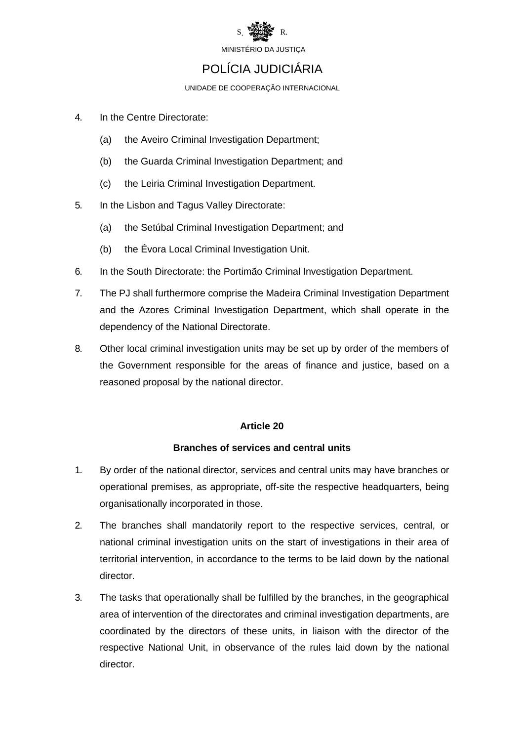

### POLÍCIA JUDICIÁRIA

UNIDADE DE COOPERAÇÃO INTERNACIONAL

- 4. In the Centre Directorate:
	- (a) the Aveiro Criminal Investigation Department;
	- (b) the Guarda Criminal Investigation Department; and
	- (c) the Leiria Criminal Investigation Department.
- 5. In the Lisbon and Tagus Valley Directorate:
	- (a) the Setúbal Criminal Investigation Department; and
	- (b) the Évora Local Criminal Investigation Unit.
- 6. In the South Directorate: the Portimão Criminal Investigation Department.
- 7. The PJ shall furthermore comprise the Madeira Criminal Investigation Department and the Azores Criminal Investigation Department, which shall operate in the dependency of the National Directorate.
- 8. Other local criminal investigation units may be set up by order of the members of the Government responsible for the areas of finance and justice, based on a reasoned proposal by the national director.

#### **Article 20**

#### **Branches of services and central units**

- 1. By order of the national director, services and central units may have branches or operational premises, as appropriate, off-site the respective headquarters, being organisationally incorporated in those.
- 2. The branches shall mandatorily report to the respective services, central, or national criminal investigation units on the start of investigations in their area of territorial intervention, in accordance to the terms to be laid down by the national director.
- 3. The tasks that operationally shall be fulfilled by the branches, in the geographical area of intervention of the directorates and criminal investigation departments, are coordinated by the directors of these units, in liaison with the director of the respective National Unit, in observance of the rules laid down by the national director.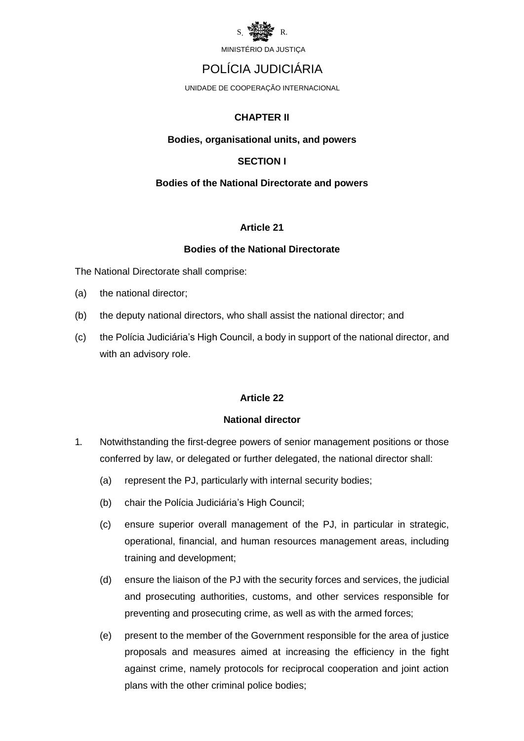

### POLÍCIA JUDICIÁRIA

UNIDADE DE COOPERAÇÃO INTERNACIONAL

#### **CHAPTER II**

#### **Bodies, organisational units, and powers**

#### **SECTION I**

#### **Bodies of the National Directorate and powers**

#### **Article 21**

#### **Bodies of the National Directorate**

The National Directorate shall comprise:

- (a) the national director;
- (b) the deputy national directors, who shall assist the national director; and
- (c) the Polícia Judiciária's High Council, a body in support of the national director, and with an advisory role.

#### **Article 22**

#### **National director**

- 1. Notwithstanding the first-degree powers of senior management positions or those conferred by law, or delegated or further delegated, the national director shall:
	- (a) represent the PJ, particularly with internal security bodies;
	- (b) chair the Polícia Judiciária's High Council;
	- (c) ensure superior overall management of the PJ, in particular in strategic, operational, financial, and human resources management areas, including training and development;
	- (d) ensure the liaison of the PJ with the security forces and services, the judicial and prosecuting authorities, customs, and other services responsible for preventing and prosecuting crime, as well as with the armed forces;
	- (e) present to the member of the Government responsible for the area of justice proposals and measures aimed at increasing the efficiency in the fight against crime, namely protocols for reciprocal cooperation and joint action plans with the other criminal police bodies;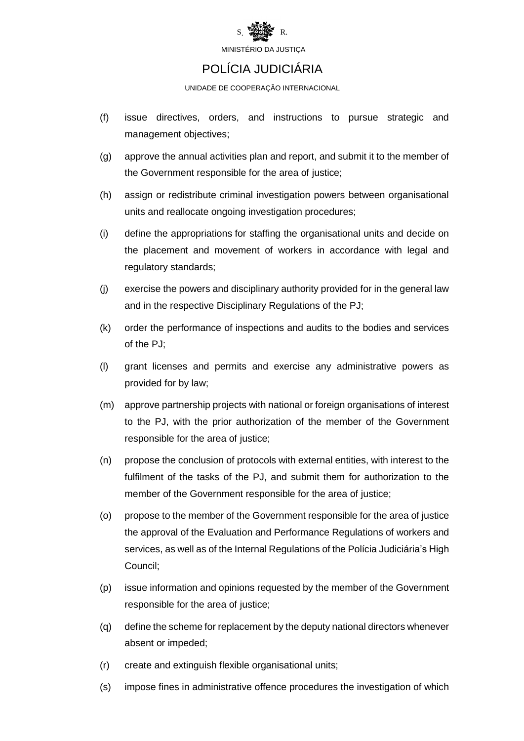

### POLÍCIA JUDICIÁRIA

UNIDADE DE COOPERAÇÃO INTERNACIONAL

- (f) issue directives, orders, and instructions to pursue strategic and management objectives;
- (g) approve the annual activities plan and report, and submit it to the member of the Government responsible for the area of justice;
- (h) assign or redistribute criminal investigation powers between organisational units and reallocate ongoing investigation procedures;
- (i) define the appropriations for staffing the organisational units and decide on the placement and movement of workers in accordance with legal and regulatory standards;
- (j) exercise the powers and disciplinary authority provided for in the general law and in the respective Disciplinary Regulations of the PJ;
- (k) order the performance of inspections and audits to the bodies and services of the PJ;
- (l) grant licenses and permits and exercise any administrative powers as provided for by law;
- (m) approve partnership projects with national or foreign organisations of interest to the PJ, with the prior authorization of the member of the Government responsible for the area of justice;
- (n) propose the conclusion of protocols with external entities, with interest to the fulfilment of the tasks of the PJ, and submit them for authorization to the member of the Government responsible for the area of justice;
- (o) propose to the member of the Government responsible for the area of justice the approval of the Evaluation and Performance Regulations of workers and services, as well as of the Internal Regulations of the Polícia Judiciária's High Council;
- (p) issue information and opinions requested by the member of the Government responsible for the area of justice;
- (q) define the scheme for replacement by the deputy national directors whenever absent or impeded;
- (r) create and extinguish flexible organisational units;
- (s) impose fines in administrative offence procedures the investigation of which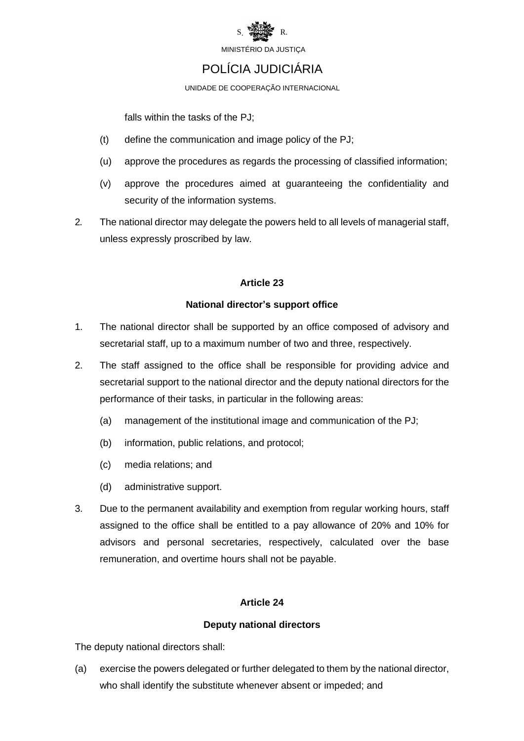

### POLÍCIA JUDICIÁRIA

UNIDADE DE COOPERAÇÃO INTERNACIONAL

falls within the tasks of the PJ;

- (t) define the communication and image policy of the PJ;
- (u) approve the procedures as regards the processing of classified information;
- (v) approve the procedures aimed at guaranteeing the confidentiality and security of the information systems.
- 2. The national director may delegate the powers held to all levels of managerial staff, unless expressly proscribed by law.

#### **Article 23**

#### **National director's support office**

- 1. The national director shall be supported by an office composed of advisory and secretarial staff, up to a maximum number of two and three, respectively.
- 2. The staff assigned to the office shall be responsible for providing advice and secretarial support to the national director and the deputy national directors for the performance of their tasks, in particular in the following areas:
	- (a) management of the institutional image and communication of the PJ;
	- (b) information, public relations, and protocol;
	- (c) media relations; and
	- (d) administrative support.
- 3. Due to the permanent availability and exemption from regular working hours, staff assigned to the office shall be entitled to a pay allowance of 20% and 10% for advisors and personal secretaries, respectively, calculated over the base remuneration, and overtime hours shall not be payable.

#### **Article 24**

#### **Deputy national directors**

The deputy national directors shall:

(a) exercise the powers delegated or further delegated to them by the national director, who shall identify the substitute whenever absent or impeded; and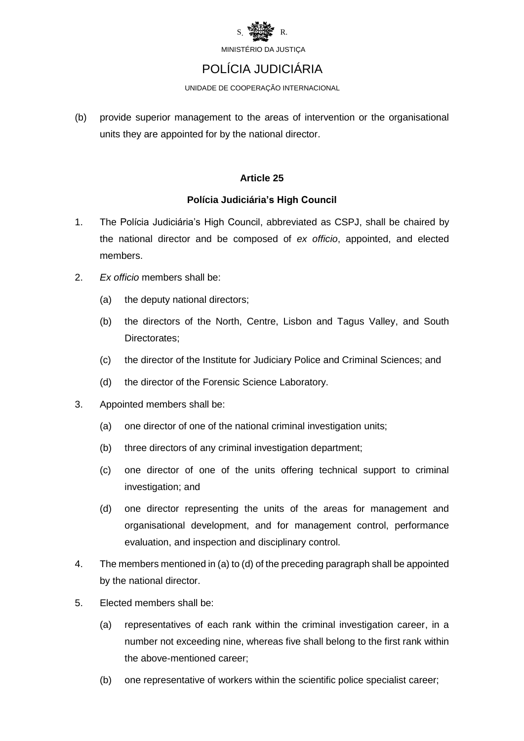

### POLÍCIA JUDICIÁRIA

UNIDADE DE COOPERAÇÃO INTERNACIONAL

(b) provide superior management to the areas of intervention or the organisational units they are appointed for by the national director.

#### **Article 25**

#### **Polícia Judiciária's High Council**

- 1. The Polícia Judiciária's High Council, abbreviated as CSPJ, shall be chaired by the national director and be composed of *ex officio*, appointed, and elected members.
- 2. *Ex officio* members shall be:
	- (a) the deputy national directors;
	- (b) the directors of the North, Centre, Lisbon and Tagus Valley, and South Directorates;
	- (c) the director of the Institute for Judiciary Police and Criminal Sciences; and
	- (d) the director of the Forensic Science Laboratory.
- 3. Appointed members shall be:
	- (a) one director of one of the national criminal investigation units;
	- (b) three directors of any criminal investigation department;
	- (c) one director of one of the units offering technical support to criminal investigation; and
	- (d) one director representing the units of the areas for management and organisational development, and for management control, performance evaluation, and inspection and disciplinary control.
- 4. The members mentioned in (a) to (d) of the preceding paragraph shall be appointed by the national director.
- 5. Elected members shall be:
	- (a) representatives of each rank within the criminal investigation career, in a number not exceeding nine, whereas five shall belong to the first rank within the above-mentioned career;
	- (b) one representative of workers within the scientific police specialist career;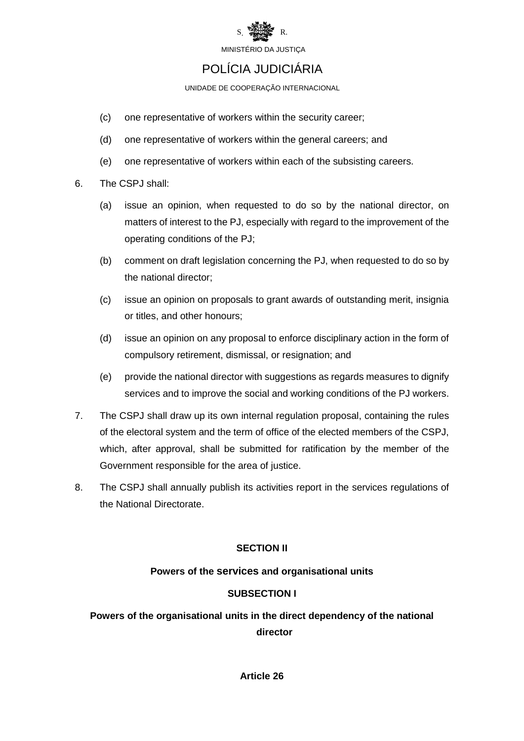

### POLÍCIA JUDICIÁRIA

UNIDADE DE COOPERAÇÃO INTERNACIONAL

- (c) one representative of workers within the security career;
- (d) one representative of workers within the general careers; and
- (e) one representative of workers within each of the subsisting careers.
- 6. The CSPJ shall:
	- (a) issue an opinion, when requested to do so by the national director, on matters of interest to the PJ, especially with regard to the improvement of the operating conditions of the PJ;
	- (b) comment on draft legislation concerning the PJ, when requested to do so by the national director;
	- (c) issue an opinion on proposals to grant awards of outstanding merit, insignia or titles, and other honours;
	- (d) issue an opinion on any proposal to enforce disciplinary action in the form of compulsory retirement, dismissal, or resignation; and
	- (e) provide the national director with suggestions as regards measures to dignify services and to improve the social and working conditions of the PJ workers.
- 7. The CSPJ shall draw up its own internal regulation proposal, containing the rules of the electoral system and the term of office of the elected members of the CSPJ, which, after approval, shall be submitted for ratification by the member of the Government responsible for the area of justice.
- 8. The CSPJ shall annually publish its activities report in the services regulations of the National Directorate.

#### **SECTION II**

#### **Powers of the services and organisational units**

#### **SUBSECTION I**

### **Powers of the organisational units in the direct dependency of the national director**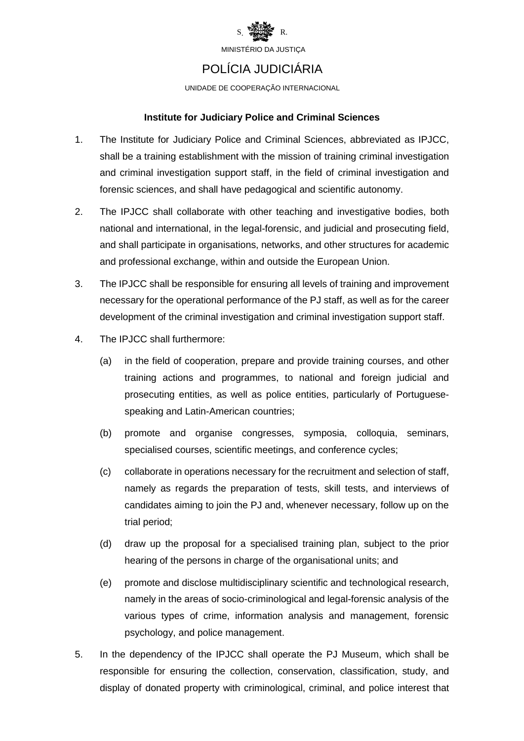

### POLÍCIA JUDICIÁRIA

UNIDADE DE COOPERAÇÃO INTERNACIONAL

#### **Institute for Judiciary Police and Criminal Sciences**

- 1. The Institute for Judiciary Police and Criminal Sciences, abbreviated as IPJCC, shall be a training establishment with the mission of training criminal investigation and criminal investigation support staff, in the field of criminal investigation and forensic sciences, and shall have pedagogical and scientific autonomy.
- 2. The IPJCC shall collaborate with other teaching and investigative bodies, both national and international, in the legal-forensic, and judicial and prosecuting field, and shall participate in organisations, networks, and other structures for academic and professional exchange, within and outside the European Union.
- 3. The IPJCC shall be responsible for ensuring all levels of training and improvement necessary for the operational performance of the PJ staff, as well as for the career development of the criminal investigation and criminal investigation support staff.
- 4. The IPJCC shall furthermore:
	- (a) in the field of cooperation, prepare and provide training courses, and other training actions and programmes, to national and foreign judicial and prosecuting entities, as well as police entities, particularly of Portuguesespeaking and Latin-American countries;
	- (b) promote and organise congresses, symposia, colloquia, seminars, specialised courses, scientific meetings, and conference cycles;
	- (c) collaborate in operations necessary for the recruitment and selection of staff, namely as regards the preparation of tests, skill tests, and interviews of candidates aiming to join the PJ and, whenever necessary, follow up on the trial period;
	- (d) draw up the proposal for a specialised training plan, subject to the prior hearing of the persons in charge of the organisational units; and
	- (e) promote and disclose multidisciplinary scientific and technological research, namely in the areas of socio-criminological and legal-forensic analysis of the various types of crime, information analysis and management, forensic psychology, and police management.
- 5. In the dependency of the IPJCC shall operate the PJ Museum, which shall be responsible for ensuring the collection, conservation, classification, study, and display of donated property with criminological, criminal, and police interest that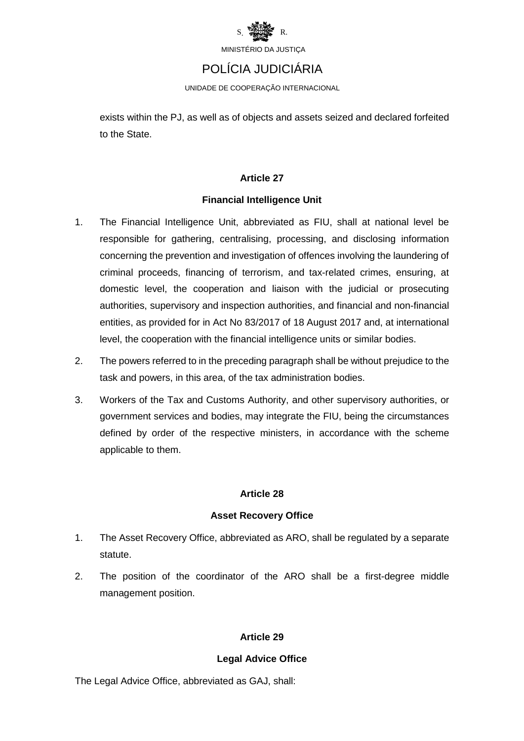

### POLÍCIA JUDICIÁRIA

UNIDADE DE COOPERAÇÃO INTERNACIONAL

exists within the PJ, as well as of objects and assets seized and declared forfeited to the State.

#### **Article 27**

#### **Financial Intelligence Unit**

- 1. The Financial Intelligence Unit, abbreviated as FIU, shall at national level be responsible for gathering, centralising, processing, and disclosing information concerning the prevention and investigation of offences involving the laundering of criminal proceeds, financing of terrorism, and tax-related crimes, ensuring, at domestic level, the cooperation and liaison with the judicial or prosecuting authorities, supervisory and inspection authorities, and financial and non-financial entities, as provided for in Act No 83/2017 of 18 August 2017 and, at international level, the cooperation with the financial intelligence units or similar bodies.
- 2. The powers referred to in the preceding paragraph shall be without prejudice to the task and powers, in this area, of the tax administration bodies.
- 3. Workers of the Tax and Customs Authority, and other supervisory authorities, or government services and bodies, may integrate the FIU, being the circumstances defined by order of the respective ministers, in accordance with the scheme applicable to them.

#### **Article 28**

#### **Asset Recovery Office**

- 1. The Asset Recovery Office, abbreviated as ARO, shall be regulated by a separate statute.
- 2. The position of the coordinator of the ARO shall be a first-degree middle management position.

#### **Article 29**

#### **Legal Advice Office**

The Legal Advice Office, abbreviated as GAJ, shall: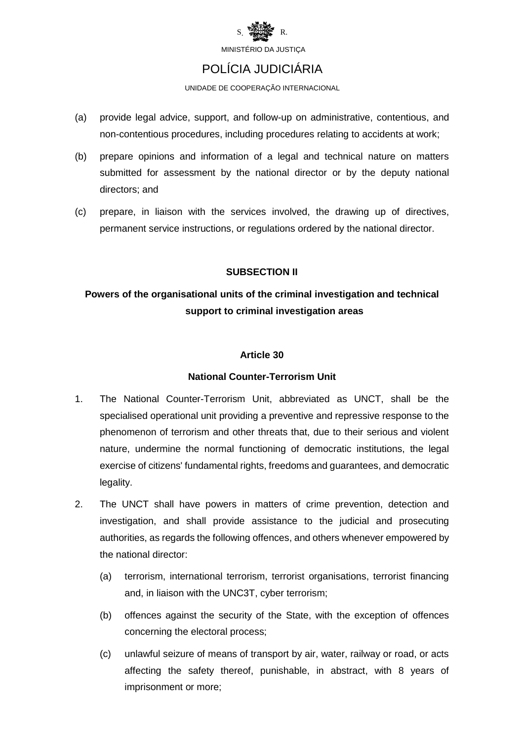

### POLÍCIA JUDICIÁRIA

UNIDADE DE COOPERAÇÃO INTERNACIONAL

- (a) provide legal advice, support, and follow-up on administrative, contentious, and non-contentious procedures, including procedures relating to accidents at work;
- (b) prepare opinions and information of a legal and technical nature on matters submitted for assessment by the national director or by the deputy national directors; and
- (c) prepare, in liaison with the services involved, the drawing up of directives, permanent service instructions, or regulations ordered by the national director.

#### **SUBSECTION II**

### **Powers of the organisational units of the criminal investigation and technical support to criminal investigation areas**

#### **Article 30**

#### **National Counter-Terrorism Unit**

- 1. The National Counter-Terrorism Unit, abbreviated as UNCT, shall be the specialised operational unit providing a preventive and repressive response to the phenomenon of terrorism and other threats that, due to their serious and violent nature, undermine the normal functioning of democratic institutions, the legal exercise of citizens' fundamental rights, freedoms and guarantees, and democratic legality.
- 2. The UNCT shall have powers in matters of crime prevention, detection and investigation, and shall provide assistance to the judicial and prosecuting authorities, as regards the following offences, and others whenever empowered by the national director:
	- (a) terrorism, international terrorism, terrorist organisations, terrorist financing and, in liaison with the UNC3T, cyber terrorism;
	- (b) offences against the security of the State, with the exception of offences concerning the electoral process;
	- (c) unlawful seizure of means of transport by air, water, railway or road, or acts affecting the safety thereof, punishable, in abstract, with 8 years of imprisonment or more;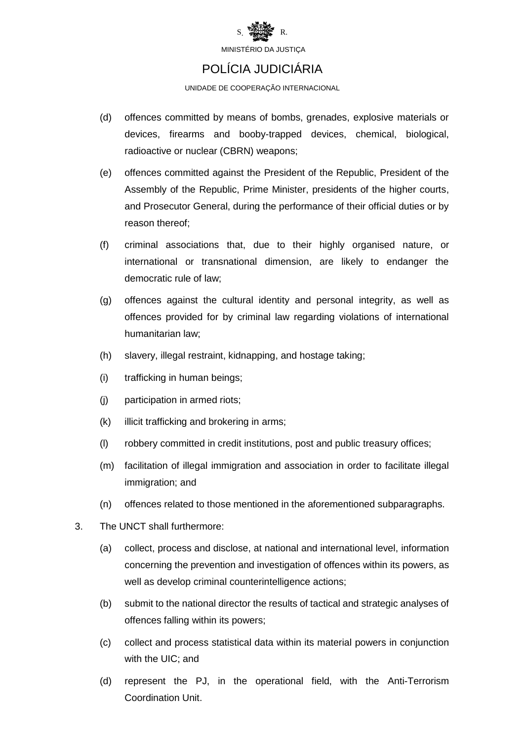

### POLÍCIA JUDICIÁRIA

UNIDADE DE COOPERAÇÃO INTERNACIONAL

- (d) offences committed by means of bombs, grenades, explosive materials or devices, firearms and booby-trapped devices, chemical, biological, radioactive or nuclear (CBRN) weapons;
- (e) offences committed against the President of the Republic, President of the Assembly of the Republic, Prime Minister, presidents of the higher courts, and Prosecutor General, during the performance of their official duties or by reason thereof;
- (f) criminal associations that, due to their highly organised nature, or international or transnational dimension, are likely to endanger the democratic rule of law;
- (g) offences against the cultural identity and personal integrity, as well as offences provided for by criminal law regarding violations of international humanitarian law;
- (h) slavery, illegal restraint, kidnapping, and hostage taking;
- (i) trafficking in human beings;
- (j) participation in armed riots;
- (k) illicit trafficking and brokering in arms;
- (l) robbery committed in credit institutions, post and public treasury offices;
- (m) facilitation of illegal immigration and association in order to facilitate illegal immigration; and
- (n) offences related to those mentioned in the aforementioned subparagraphs.
- 3. The UNCT shall furthermore:
	- (a) collect, process and disclose, at national and international level, information concerning the prevention and investigation of offences within its powers, as well as develop criminal counterintelligence actions;
	- (b) submit to the national director the results of tactical and strategic analyses of offences falling within its powers;
	- (c) collect and process statistical data within its material powers in conjunction with the UIC; and
	- (d) represent the PJ, in the operational field, with the Anti-Terrorism Coordination Unit.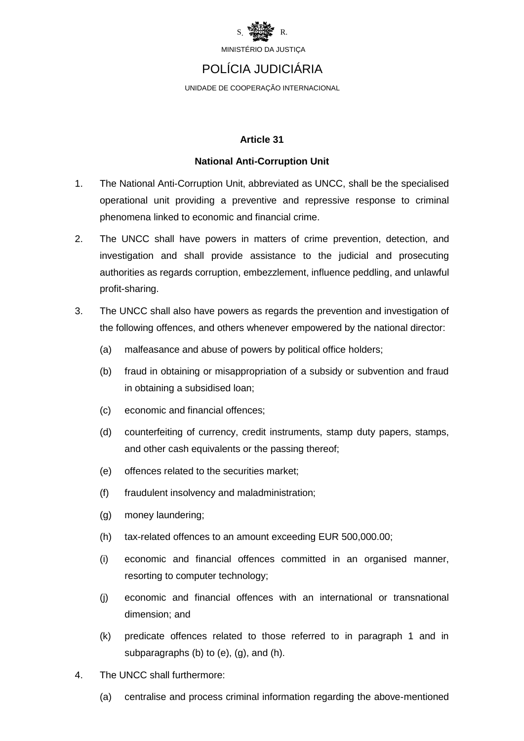

### POLÍCIA JUDICIÁRIA

UNIDADE DE COOPERAÇÃO INTERNACIONAL

#### **Article 31**

#### **National Anti-Corruption Unit**

- 1. The National Anti-Corruption Unit, abbreviated as UNCC, shall be the specialised operational unit providing a preventive and repressive response to criminal phenomena linked to economic and financial crime.
- 2. The UNCC shall have powers in matters of crime prevention, detection, and investigation and shall provide assistance to the judicial and prosecuting authorities as regards corruption, embezzlement, influence peddling, and unlawful profit-sharing.
- 3. The UNCC shall also have powers as regards the prevention and investigation of the following offences, and others whenever empowered by the national director:
	- (a) malfeasance and abuse of powers by political office holders;
	- (b) fraud in obtaining or misappropriation of a subsidy or subvention and fraud in obtaining a subsidised loan;
	- (c) economic and financial offences;
	- (d) counterfeiting of currency, credit instruments, stamp duty papers, stamps, and other cash equivalents or the passing thereof;
	- (e) offences related to the securities market;
	- (f) fraudulent insolvency and maladministration;
	- (g) money laundering;
	- (h) tax-related offences to an amount exceeding EUR 500,000.00;
	- (i) economic and financial offences committed in an organised manner, resorting to computer technology;
	- (j) economic and financial offences with an international or transnational dimension; and
	- (k) predicate offences related to those referred to in paragraph 1 and in subparagraphs (b) to (e), (g), and (h).
- 4. The UNCC shall furthermore:
	- (a) centralise and process criminal information regarding the above-mentioned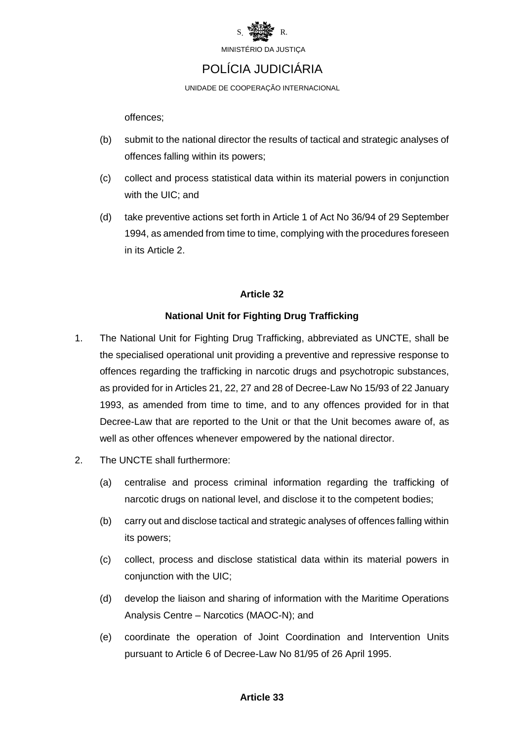

### POLÍCIA JUDICIÁRIA

UNIDADE DE COOPERAÇÃO INTERNACIONAL

offences;

- (b) submit to the national director the results of tactical and strategic analyses of offences falling within its powers;
- (c) collect and process statistical data within its material powers in conjunction with the UIC; and
- (d) take preventive actions set forth in Article 1 of Act No 36/94 of 29 September 1994, as amended from time to time, complying with the procedures foreseen in its Article 2.

#### **Article 32**

#### **National Unit for Fighting Drug Trafficking**

- 1. The National Unit for Fighting Drug Trafficking, abbreviated as UNCTE, shall be the specialised operational unit providing a preventive and repressive response to offences regarding the trafficking in narcotic drugs and psychotropic substances, as provided for in Articles 21, 22, 27 and 28 of Decree-Law No 15/93 of 22 January 1993, as amended from time to time, and to any offences provided for in that Decree-Law that are reported to the Unit or that the Unit becomes aware of, as well as other offences whenever empowered by the national director.
- 2. The UNCTE shall furthermore:
	- (a) centralise and process criminal information regarding the trafficking of narcotic drugs on national level, and disclose it to the competent bodies;
	- (b) carry out and disclose tactical and strategic analyses of offences falling within its powers;
	- (c) collect, process and disclose statistical data within its material powers in conjunction with the UIC;
	- (d) develop the liaison and sharing of information with the Maritime Operations Analysis Centre – Narcotics (MAOC-N); and
	- (e) coordinate the operation of Joint Coordination and Intervention Units pursuant to Article 6 of Decree-Law No 81/95 of 26 April 1995.

#### **Article 33**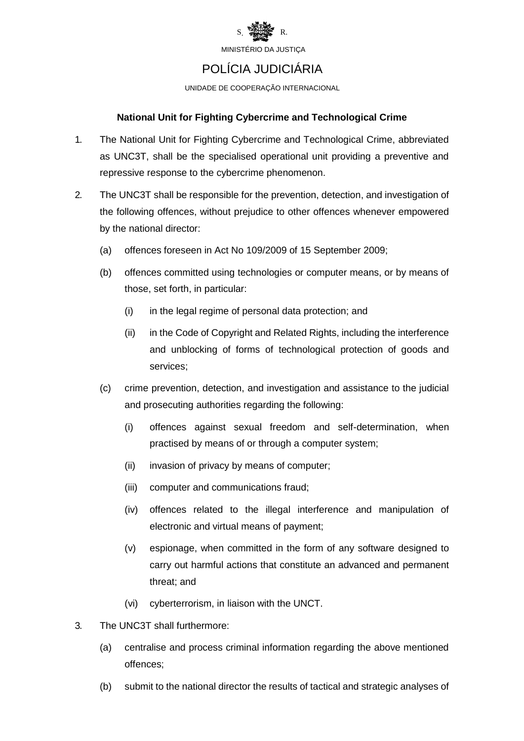

### POLÍCIA JUDICIÁRIA

UNIDADE DE COOPERAÇÃO INTERNACIONAL

#### **National Unit for Fighting Cybercrime and Technological Crime**

- 1. The National Unit for Fighting Cybercrime and Technological Crime, abbreviated as UNC3T, shall be the specialised operational unit providing a preventive and repressive response to the cybercrime phenomenon.
- 2. The UNC3T shall be responsible for the prevention, detection, and investigation of the following offences, without prejudice to other offences whenever empowered by the national director:
	- (a) offences foreseen in Act No 109/2009 of 15 September 2009;
	- (b) offences committed using technologies or computer means, or by means of those, set forth, in particular:
		- (i) in the legal regime of personal data protection; and
		- (ii) in the Code of Copyright and Related Rights, including the interference and unblocking of forms of technological protection of goods and services;
	- (c) crime prevention, detection, and investigation and assistance to the judicial and prosecuting authorities regarding the following:
		- (i) offences against sexual freedom and self-determination, when practised by means of or through a computer system;
		- (ii) invasion of privacy by means of computer;
		- (iii) computer and communications fraud;
		- (iv) offences related to the illegal interference and manipulation of electronic and virtual means of payment;
		- (v) espionage, when committed in the form of any software designed to carry out harmful actions that constitute an advanced and permanent threat; and
		- (vi) cyberterrorism, in liaison with the UNCT.
- 3. The UNC3T shall furthermore:
	- (a) centralise and process criminal information regarding the above mentioned offences;
	- (b) submit to the national director the results of tactical and strategic analyses of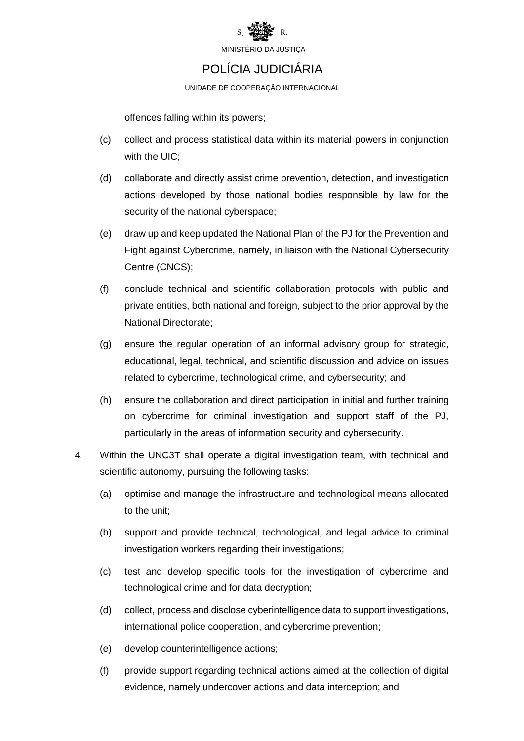

### POLÍCIA JUDICIÁRIA

UNIDADE DE COOPERAÇÃO INTERNACIONAL

offences falling within its powers;

- (c) collect and process statistical data within its material powers in conjunction with the UIC;
- (d) collaborate and directly assist crime prevention, detection, and investigation actions developed by those national bodies responsible by law for the security of the national cyberspace;
- (e) draw up and keep updated the National Plan of the PJ for the Prevention and Fight against Cybercrime, namely, in liaison with the National Cybersecurity Centre (CNCS);
- (f) conclude technical and scientific collaboration protocols with public and private entities, both national and foreign, subject to the prior approval by the National Directorate;
- (g) ensure the regular operation of an informal advisory group for strategic, educational, legal, technical, and scientific discussion and advice on issues related to cybercrime, technological crime, and cybersecurity; and
- (h) ensure the collaboration and direct participation in initial and further training on cybercrime for criminal investigation and support staff of the PJ, particularly in the areas of information security and cybersecurity.
- 4. Within the UNC3T shall operate a digital investigation team, with technical and scientific autonomy, pursuing the following tasks:
	- (a) optimise and manage the infrastructure and technological means allocated to the unit;
	- (b) support and provide technical, technological, and legal advice to criminal investigation workers regarding their investigations;
	- (c) test and develop specific tools for the investigation of cybercrime and technological crime and for data decryption;
	- (d) collect, process and disclose cyberintelligence data to support investigations, international police cooperation, and cybercrime prevention;
	- (e) develop counterintelligence actions;
	- (f) provide support regarding technical actions aimed at the collection of digital evidence, namely undercover actions and data interception; and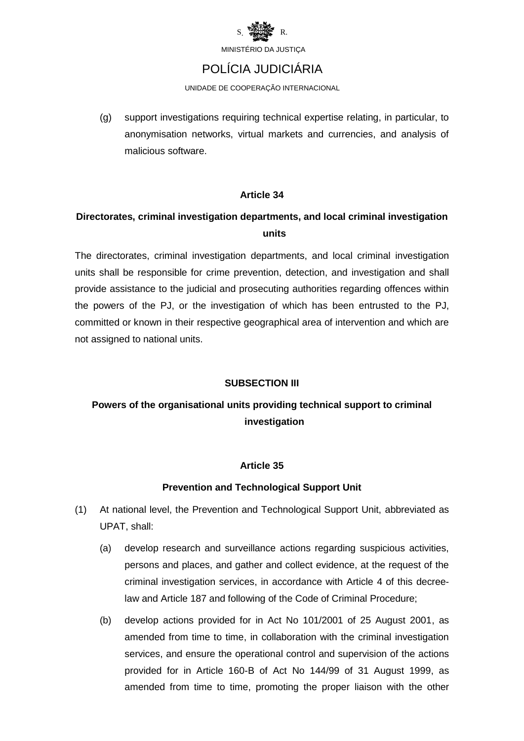

### POLÍCIA JUDICIÁRIA

UNIDADE DE COOPERAÇÃO INTERNACIONAL

(g) support investigations requiring technical expertise relating, in particular, to anonymisation networks, virtual markets and currencies, and analysis of malicious software.

#### **Article 34**

### **Directorates, criminal investigation departments, and local criminal investigation units**

The directorates, criminal investigation departments, and local criminal investigation units shall be responsible for crime prevention, detection, and investigation and shall provide assistance to the judicial and prosecuting authorities regarding offences within the powers of the PJ, or the investigation of which has been entrusted to the PJ, committed or known in their respective geographical area of intervention and which are not assigned to national units.

#### **SUBSECTION III**

### **Powers of the organisational units providing technical support to criminal investigation**

#### **Article 35**

#### **Prevention and Technological Support Unit**

- (1) At national level, the Prevention and Technological Support Unit, abbreviated as UPAT, shall:
	- (a) develop research and surveillance actions regarding suspicious activities, persons and places, and gather and collect evidence, at the request of the criminal investigation services, in accordance with Article 4 of this decreelaw and Article 187 and following of the Code of Criminal Procedure;
	- (b) develop actions provided for in Act No 101/2001 of 25 August 2001, as amended from time to time, in collaboration with the criminal investigation services, and ensure the operational control and supervision of the actions provided for in Article 160-B of Act No 144/99 of 31 August 1999, as amended from time to time, promoting the proper liaison with the other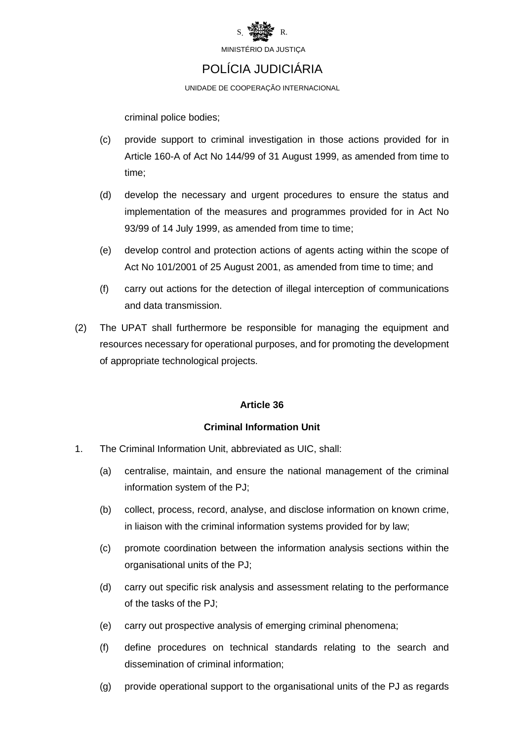

### POLÍCIA JUDICIÁRIA

UNIDADE DE COOPERAÇÃO INTERNACIONAL

criminal police bodies;

- (c) provide support to criminal investigation in those actions provided for in Article 160-A of Act No 144/99 of 31 August 1999, as amended from time to time;
- (d) develop the necessary and urgent procedures to ensure the status and implementation of the measures and programmes provided for in Act No 93/99 of 14 July 1999, as amended from time to time;
- (e) develop control and protection actions of agents acting within the scope of Act No 101/2001 of 25 August 2001, as amended from time to time; and
- (f) carry out actions for the detection of illegal interception of communications and data transmission.
- (2) The UPAT shall furthermore be responsible for managing the equipment and resources necessary for operational purposes, and for promoting the development of appropriate technological projects.

#### **Article 36**

#### **Criminal Information Unit**

- 1. The Criminal Information Unit, abbreviated as UIC, shall:
	- (a) centralise, maintain, and ensure the national management of the criminal information system of the PJ;
	- (b) collect, process, record, analyse, and disclose information on known crime, in liaison with the criminal information systems provided for by law;
	- (c) promote coordination between the information analysis sections within the organisational units of the PJ;
	- (d) carry out specific risk analysis and assessment relating to the performance of the tasks of the PJ;
	- (e) carry out prospective analysis of emerging criminal phenomena;
	- (f) define procedures on technical standards relating to the search and dissemination of criminal information;
	- (g) provide operational support to the organisational units of the PJ as regards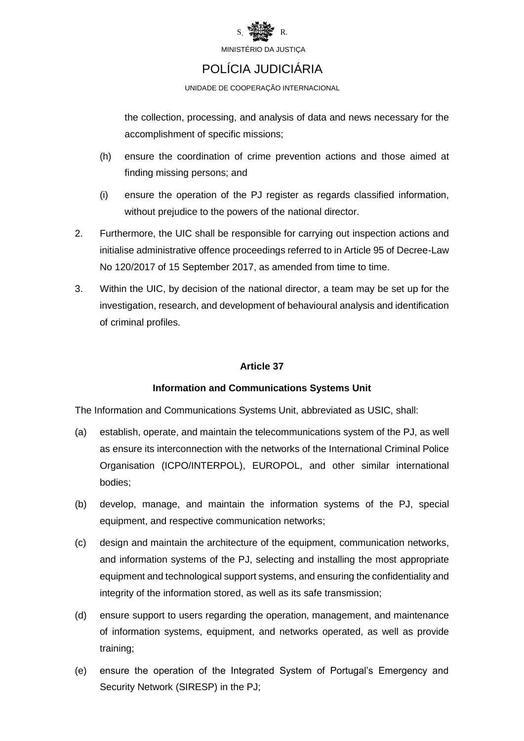

### POLÍCIA JUDICIÁRIA

UNIDADE DE COOPERAÇÃO INTERNACIONAL

the collection, processing, and analysis of data and news necessary for the accomplishment of specific missions;

- (h) ensure the coordination of crime prevention actions and those aimed at finding missing persons; and
- (i) ensure the operation of the PJ register as regards classified information, without prejudice to the powers of the national director.
- 2. Furthermore, the UIC shall be responsible for carrying out inspection actions and initialise administrative offence proceedings referred to in Article 95 of Decree-Law No 120/2017 of 15 September 2017, as amended from time to time.
- 3. Within the UIC, by decision of the national director, a team may be set up for the investigation, research, and development of behavioural analysis and identification of criminal profiles.

#### **Article 37**

#### **Information and Communications Systems Unit**

The Information and Communications Systems Unit, abbreviated as USIC, shall:

- (a) establish, operate, and maintain the telecommunications system of the PJ, as well as ensure its interconnection with the networks of the International Criminal Police Organisation (ICPO/INTERPOL), EUROPOL, and other similar international bodies;
- (b) develop, manage, and maintain the information systems of the PJ, special equipment, and respective communication networks;
- (c) design and maintain the architecture of the equipment, communication networks, and information systems of the PJ, selecting and installing the most appropriate equipment and technological support systems, and ensuring the confidentiality and integrity of the information stored, as well as its safe transmission;
- (d) ensure support to users regarding the operation, management, and maintenance of information systems, equipment, and networks operated, as well as provide training;
- (e) ensure the operation of the Integrated System of Portugal's Emergency and Security Network (SIRESP) in the PJ;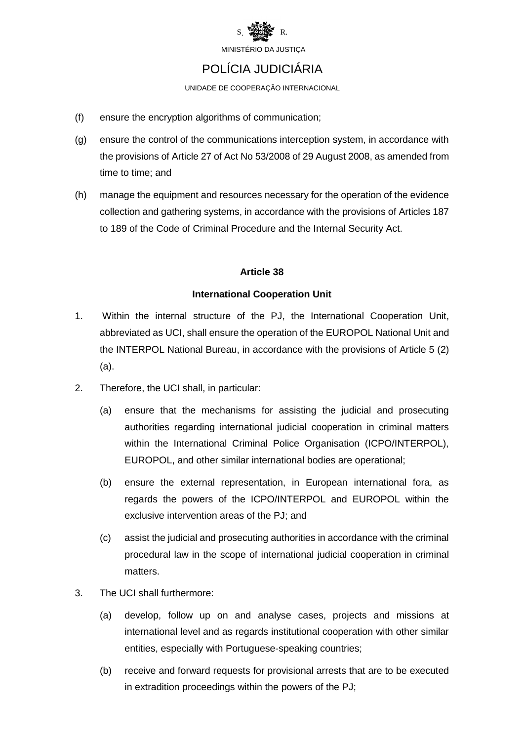

### POLÍCIA JUDICIÁRIA

UNIDADE DE COOPERAÇÃO INTERNACIONAL

- (f) ensure the encryption algorithms of communication;
- (g) ensure the control of the communications interception system, in accordance with the provisions of Article 27 of Act No 53/2008 of 29 August 2008, as amended from time to time; and
- (h) manage the equipment and resources necessary for the operation of the evidence collection and gathering systems, in accordance with the provisions of Articles 187 to 189 of the Code of Criminal Procedure and the Internal Security Act.

#### **Article 38**

#### **International Cooperation Unit**

- 1. Within the internal structure of the PJ, the International Cooperation Unit, abbreviated as UCI, shall ensure the operation of the EUROPOL National Unit and the INTERPOL National Bureau, in accordance with the provisions of Article 5 (2) (a).
- 2. Therefore, the UCI shall, in particular:
	- (a) ensure that the mechanisms for assisting the judicial and prosecuting authorities regarding international judicial cooperation in criminal matters within the International Criminal Police Organisation (ICPO/INTERPOL), EUROPOL, and other similar international bodies are operational;
	- (b) ensure the external representation, in European international fora, as regards the powers of the ICPO/INTERPOL and EUROPOL within the exclusive intervention areas of the PJ; and
	- (c) assist the judicial and prosecuting authorities in accordance with the criminal procedural law in the scope of international judicial cooperation in criminal matters.
- 3. The UCI shall furthermore:
	- (a) develop, follow up on and analyse cases, projects and missions at international level and as regards institutional cooperation with other similar entities, especially with Portuguese-speaking countries;
	- (b) receive and forward requests for provisional arrests that are to be executed in extradition proceedings within the powers of the PJ;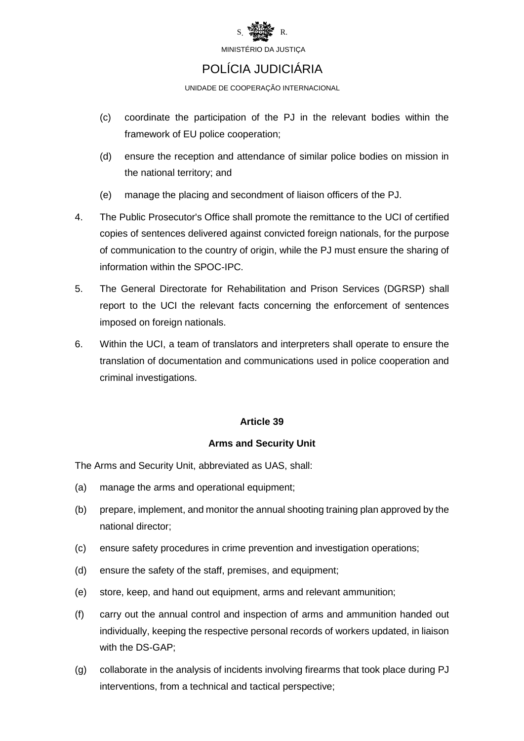

### POLÍCIA JUDICIÁRIA

UNIDADE DE COOPERAÇÃO INTERNACIONAL

- (c) coordinate the participation of the PJ in the relevant bodies within the framework of EU police cooperation;
- (d) ensure the reception and attendance of similar police bodies on mission in the national territory; and
- (e) manage the placing and secondment of liaison officers of the PJ.
- 4. The Public Prosecutor's Office shall promote the remittance to the UCI of certified copies of sentences delivered against convicted foreign nationals, for the purpose of communication to the country of origin, while the PJ must ensure the sharing of information within the SPOC-IPC.
- 5. The General Directorate for Rehabilitation and Prison Services (DGRSP) shall report to the UCI the relevant facts concerning the enforcement of sentences imposed on foreign nationals.
- 6. Within the UCI, a team of translators and interpreters shall operate to ensure the translation of documentation and communications used in police cooperation and criminal investigations.

#### **Article 39**

#### **Arms and Security Unit**

The Arms and Security Unit, abbreviated as UAS, shall:

- (a) manage the arms and operational equipment;
- (b) prepare, implement, and monitor the annual shooting training plan approved by the national director;
- (c) ensure safety procedures in crime prevention and investigation operations;
- (d) ensure the safety of the staff, premises, and equipment;
- (e) store, keep, and hand out equipment, arms and relevant ammunition;
- (f) carry out the annual control and inspection of arms and ammunition handed out individually, keeping the respective personal records of workers updated, in liaison with the DS-GAP;
- (g) collaborate in the analysis of incidents involving firearms that took place during PJ interventions, from a technical and tactical perspective;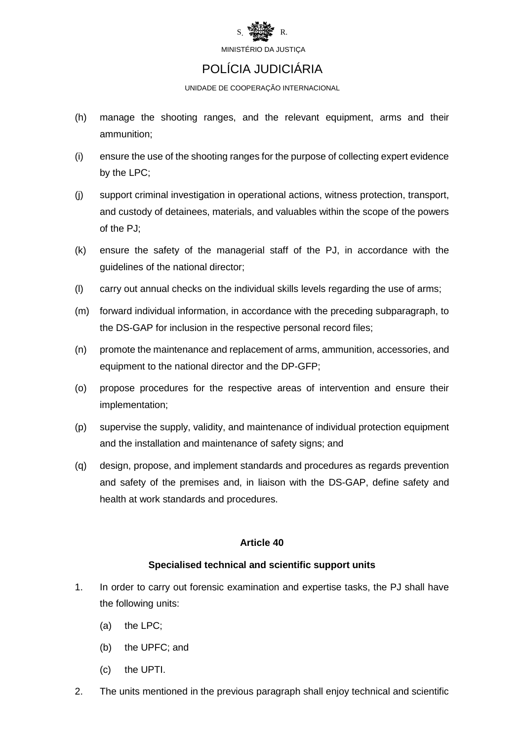

### POLÍCIA JUDICIÁRIA

UNIDADE DE COOPERAÇÃO INTERNACIONAL

- (h) manage the shooting ranges, and the relevant equipment, arms and their ammunition;
- (i) ensure the use of the shooting ranges for the purpose of collecting expert evidence by the LPC;
- (j) support criminal investigation in operational actions, witness protection, transport, and custody of detainees, materials, and valuables within the scope of the powers of the PJ;
- (k) ensure the safety of the managerial staff of the PJ, in accordance with the guidelines of the national director;
- (l) carry out annual checks on the individual skills levels regarding the use of arms;
- (m) forward individual information, in accordance with the preceding subparagraph, to the DS-GAP for inclusion in the respective personal record files;
- (n) promote the maintenance and replacement of arms, ammunition, accessories, and equipment to the national director and the DP-GFP;
- (o) propose procedures for the respective areas of intervention and ensure their implementation;
- (p) supervise the supply, validity, and maintenance of individual protection equipment and the installation and maintenance of safety signs; and
- (q) design, propose, and implement standards and procedures as regards prevention and safety of the premises and, in liaison with the DS-GAP, define safety and health at work standards and procedures.

#### **Article 40**

#### **Specialised technical and scientific support units**

- 1. In order to carry out forensic examination and expertise tasks, the PJ shall have the following units:
	- (a) the LPC;
	- (b) the UPFC; and
	- (c) the UPTI.
- 2. The units mentioned in the previous paragraph shall enjoy technical and scientific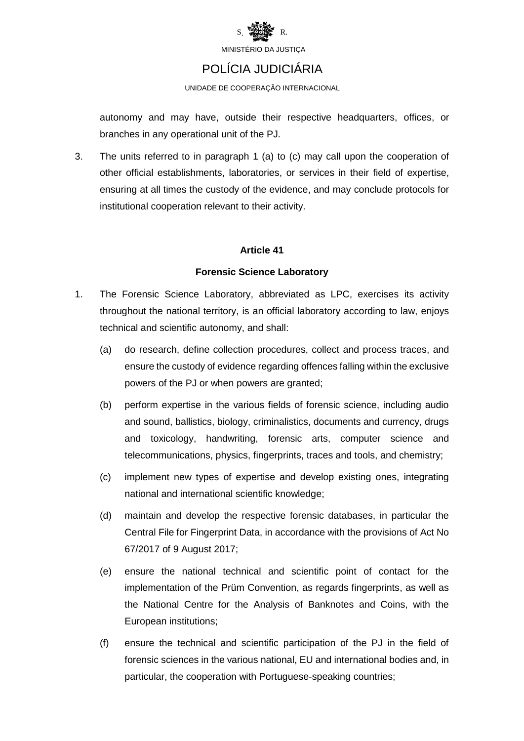

### POLÍCIA JUDICIÁRIA

UNIDADE DE COOPERAÇÃO INTERNACIONAL

autonomy and may have, outside their respective headquarters, offices, or branches in any operational unit of the PJ.

3. The units referred to in paragraph 1 (a) to (c) may call upon the cooperation of other official establishments, laboratories, or services in their field of expertise, ensuring at all times the custody of the evidence, and may conclude protocols for institutional cooperation relevant to their activity.

#### **Article 41**

#### **Forensic Science Laboratory**

- 1. The Forensic Science Laboratory, abbreviated as LPC, exercises its activity throughout the national territory, is an official laboratory according to law, enjoys technical and scientific autonomy, and shall:
	- (a) do research, define collection procedures, collect and process traces, and ensure the custody of evidence regarding offences falling within the exclusive powers of the PJ or when powers are granted;
	- (b) perform expertise in the various fields of forensic science, including audio and sound, ballistics, biology, criminalistics, documents and currency, drugs and toxicology, handwriting, forensic arts, computer science and telecommunications, physics, fingerprints, traces and tools, and chemistry;
	- (c) implement new types of expertise and develop existing ones, integrating national and international scientific knowledge;
	- (d) maintain and develop the respective forensic databases, in particular the Central File for Fingerprint Data, in accordance with the provisions of Act No 67/2017 of 9 August 2017;
	- (e) ensure the national technical and scientific point of contact for the implementation of the Prüm Convention, as regards fingerprints, as well as the National Centre for the Analysis of Banknotes and Coins, with the European institutions;
	- (f) ensure the technical and scientific participation of the PJ in the field of forensic sciences in the various national, EU and international bodies and, in particular, the cooperation with Portuguese-speaking countries;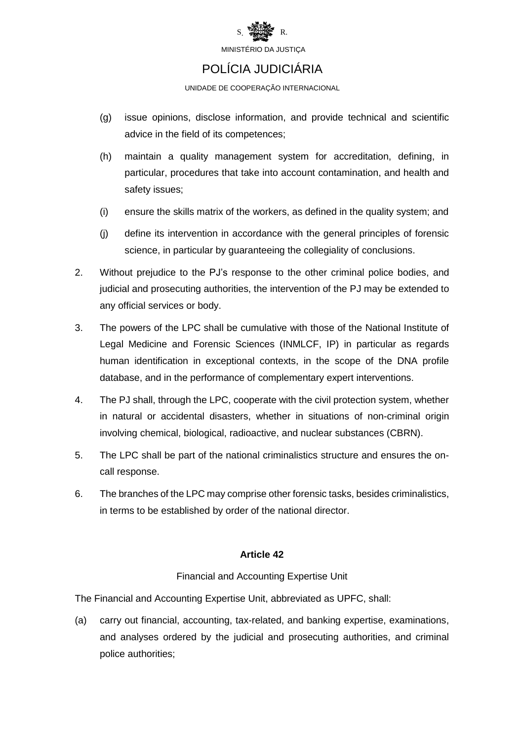

### POLÍCIA JUDICIÁRIA

UNIDADE DE COOPERAÇÃO INTERNACIONAL

- (g) issue opinions, disclose information, and provide technical and scientific advice in the field of its competences;
- (h) maintain a quality management system for accreditation, defining, in particular, procedures that take into account contamination, and health and safety issues;
- (i) ensure the skills matrix of the workers, as defined in the quality system; and
- (j) define its intervention in accordance with the general principles of forensic science, in particular by guaranteeing the collegiality of conclusions.
- 2. Without prejudice to the PJ's response to the other criminal police bodies, and judicial and prosecuting authorities, the intervention of the PJ may be extended to any official services or body.
- 3. The powers of the LPC shall be cumulative with those of the National Institute of Legal Medicine and Forensic Sciences (INMLCF, IP) in particular as regards human identification in exceptional contexts, in the scope of the DNA profile database, and in the performance of complementary expert interventions.
- 4. The PJ shall, through the LPC, cooperate with the civil protection system, whether in natural or accidental disasters, whether in situations of non-criminal origin involving chemical, biological, radioactive, and nuclear substances (CBRN).
- 5. The LPC shall be part of the national criminalistics structure and ensures the oncall response.
- 6. The branches of the LPC may comprise other forensic tasks, besides criminalistics, in terms to be established by order of the national director.

#### **Article 42**

#### Financial and Accounting Expertise Unit

The Financial and Accounting Expertise Unit, abbreviated as UPFC, shall:

(a) carry out financial, accounting, tax-related, and banking expertise, examinations, and analyses ordered by the judicial and prosecuting authorities, and criminal police authorities;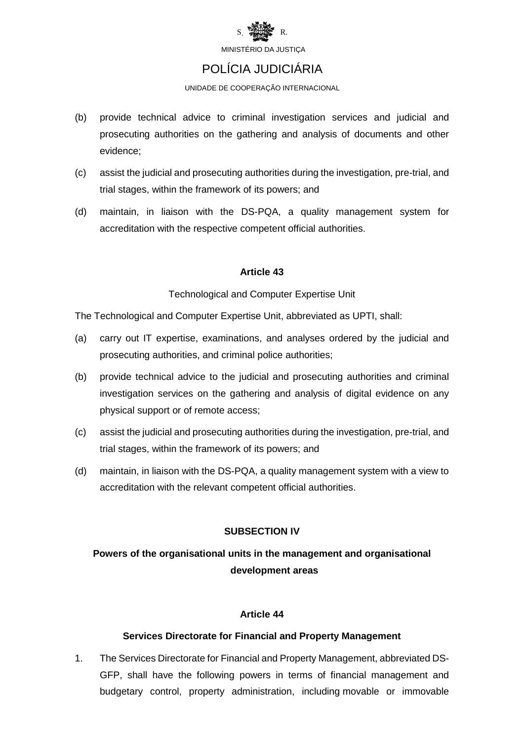

### POLÍCIA JUDICIÁRIA

UNIDADE DE COOPERAÇÃO INTERNACIONAL

- (b) provide technical advice to criminal investigation services and judicial and prosecuting authorities on the gathering and analysis of documents and other evidence;
- (c) assist the judicial and prosecuting authorities during the investigation, pre-trial, and trial stages, within the framework of its powers; and
- (d) maintain, in liaison with the DS-PQA, a quality management system for accreditation with the respective competent official authorities.

#### **Article 43**

#### Technological and Computer Expertise Unit

The Technological and Computer Expertise Unit, abbreviated as UPTI, shall:

- (a) carry out IT expertise, examinations, and analyses ordered by the judicial and prosecuting authorities, and criminal police authorities;
- (b) provide technical advice to the judicial and prosecuting authorities and criminal investigation services on the gathering and analysis of digital evidence on any physical support or of remote access;
- (c) assist the judicial and prosecuting authorities during the investigation, pre-trial, and trial stages, within the framework of its powers; and
- (d) maintain, in liaison with the DS-PQA, a quality management system with a view to accreditation with the relevant competent official authorities.

#### **SUBSECTION IV**

### **Powers of the organisational units in the management and organisational development areas**

#### **Article 44**

#### **Services Directorate for Financial and Property Management**

1. The Services Directorate for Financial and Property Management, abbreviated DS-GFP, shall have the following powers in terms of financial management and budgetary control, property administration, including movable or immovable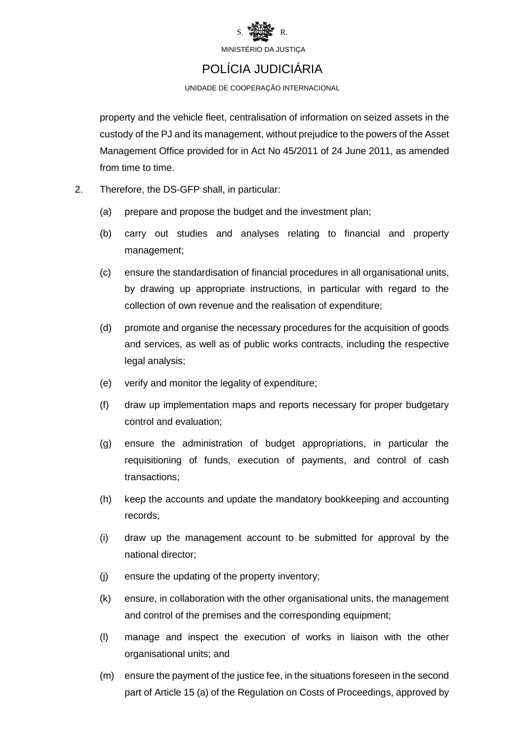

### POLÍCIA JUDICIÁRIA

UNIDADE DE COOPERAÇÃO INTERNACIONAL

property and the vehicle fleet, centralisation of information on seized assets in the custody of the PJ and its management, without prejudice to the powers of the Asset Management Office provided for in Act No 45/2011 of 24 June 2011, as amended from time to time.

- 2. Therefore, the DS-GFP shall, in particular:
	- (a) prepare and propose the budget and the investment plan;
	- (b) carry out studies and analyses relating to financial and property management;
	- (c) ensure the standardisation of financial procedures in all organisational units, by drawing up appropriate instructions, in particular with regard to the collection of own revenue and the realisation of expenditure;
	- (d) promote and organise the necessary procedures for the acquisition of goods and services, as well as of public works contracts, including the respective legal analysis;
	- (e) verify and monitor the legality of expenditure;
	- (f) draw up implementation maps and reports necessary for proper budgetary control and evaluation;
	- (g) ensure the administration of budget appropriations, in particular the requisitioning of funds, execution of payments, and control of cash transactions;
	- (h) keep the accounts and update the mandatory bookkeeping and accounting records;
	- (i) draw up the management account to be submitted for approval by the national director;
	- (j) ensure the updating of the property inventory;
	- (k) ensure, in collaboration with the other organisational units, the management and control of the premises and the corresponding equipment;
	- (l) manage and inspect the execution of works in liaison with the other organisational units; and
	- (m) ensure the payment of the justice fee, in the situations foreseen in the second part of Article 15 (a) of the Regulation on Costs of Proceedings, approved by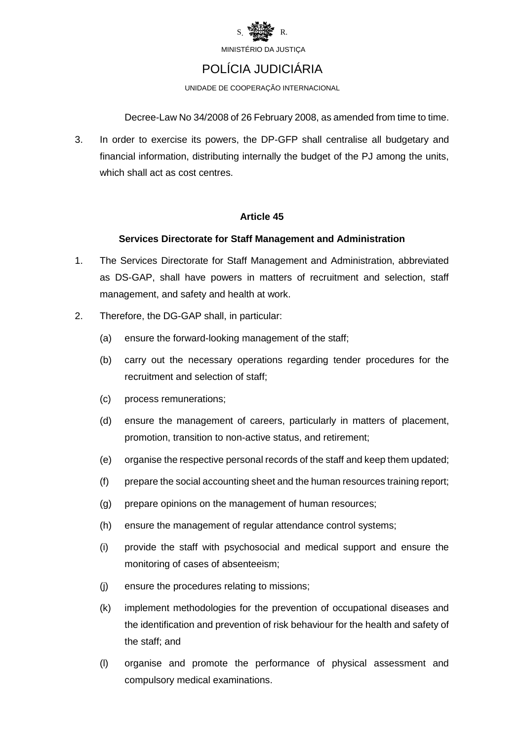

### POLÍCIA JUDICIÁRIA

UNIDADE DE COOPERAÇÃO INTERNACIONAL

Decree-Law No 34/2008 of 26 February 2008, as amended from time to time.

3. In order to exercise its powers, the DP-GFP shall centralise all budgetary and financial information, distributing internally the budget of the PJ among the units, which shall act as cost centres.

#### **Article 45**

#### **Services Directorate for Staff Management and Administration**

- 1. The Services Directorate for Staff Management and Administration, abbreviated as DS-GAP, shall have powers in matters of recruitment and selection, staff management, and safety and health at work.
- 2. Therefore, the DG-GAP shall, in particular:
	- (a) ensure the [forward-](https://www.linguee.pt/ingles-portugues/traducao/forward.html)[looking](https://www.linguee.pt/ingles-portugues/traducao/looking.html) [management](https://www.linguee.pt/ingles-portugues/traducao/management.html) of the staff;
	- (b) carry out the necessary operations regarding tender procedures for the recruitment and selection of staff;
	- (c) process remunerations;
	- (d) ensure the management of careers, particularly in matters of placement, promotion, transition to non-active status, and retirement;
	- (e) organise the respective personal records of the staff and keep them updated;
	- (f) prepare the social accounting sheet and the human resources training report;
	- (g) prepare opinions on the management of human resources;
	- (h) ensure the management of regular attendance control systems;
	- (i) provide the staff with psychosocial and medical support and ensure the monitoring of cases of absenteeism;
	- (j) ensure the procedures relating to missions;
	- (k) implement methodologies for the prevention of occupational diseases and the identification and prevention of risk behaviour for the health and safety of the staff; and
	- (l) organise and promote the performance of physical assessment and compulsory medical examinations.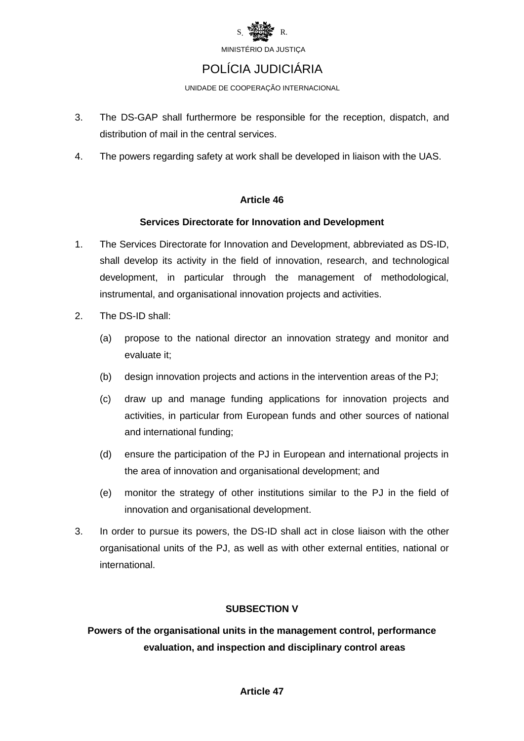

### POLÍCIA JUDICIÁRIA

UNIDADE DE COOPERAÇÃO INTERNACIONAL

- 3. The DS-GAP shall furthermore be responsible for the reception, dispatch, and distribution of mail in the central services.
- 4. The powers regarding safety at work shall be developed in liaison with the UAS.

#### **Article 46**

#### **Services Directorate for Innovation and Development**

- 1. The Services Directorate for Innovation and Development, abbreviated as DS-ID, shall develop its activity in the field of innovation, research, and technological development, in particular through the management of methodological, instrumental, and organisational innovation projects and activities.
- 2. The DS-ID shall:
	- (a) propose to the national director an innovation strategy and monitor and evaluate it;
	- (b) design innovation projects and actions in the intervention areas of the PJ;
	- (c) draw up and manage funding applications for innovation projects and activities, in particular from European funds and other sources of national and international funding;
	- (d) ensure the participation of the PJ in European and international projects in the area of innovation and organisational development; and
	- (e) monitor the strategy of other institutions similar to the PJ in the field of innovation and organisational development.
- 3. In order to pursue its powers, the DS-ID shall act in close liaison with the other organisational units of the PJ, as well as with other external entities, national or international.

#### **SUBSECTION V**

**Powers of the organisational units in the management control, performance evaluation, and inspection and disciplinary control areas**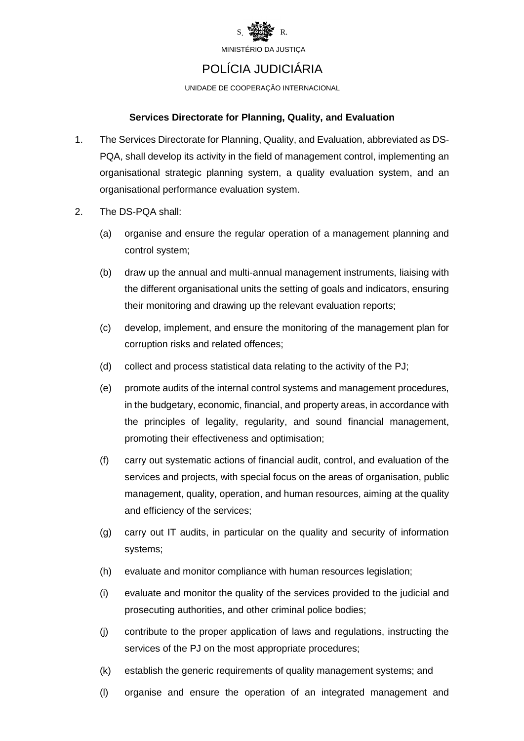

### POLÍCIA JUDICIÁRIA

UNIDADE DE COOPERAÇÃO INTERNACIONAL

#### **Services Directorate for Planning, Quality, and Evaluation**

- 1. The Services Directorate for Planning, Quality, and Evaluation, abbreviated as DS-PQA, shall develop its activity in the field of management control, implementing an organisational strategic planning system, a quality evaluation system, and an organisational performance evaluation system.
- 2. The DS-PQA shall:
	- (a) organise and ensure the regular operation of a management planning and control system;
	- (b) draw up the annual and multi-annual management instruments, liaising with the different organisational units the setting of goals and indicators, ensuring their monitoring and drawing up the relevant evaluation reports;
	- (c) develop, implement, and ensure the monitoring of the management plan for corruption risks and related offences;
	- (d) collect and process statistical data relating to the activity of the PJ;
	- (e) promote audits of the internal control systems and management procedures, in the budgetary, economic, financial, and property areas, in accordance with the principles of legality, regularity, and sound financial management, promoting their effectiveness and optimisation;
	- (f) carry out systematic actions of financial audit, control, and evaluation of the services and projects, with special focus on the areas of organisation, public management, quality, operation, and human resources, aiming at the quality and efficiency of the services;
	- (g) carry out IT audits, in particular on the quality and security of information systems;
	- (h) evaluate and monitor compliance with human resources legislation;
	- (i) evaluate and monitor the quality of the services provided to the judicial and prosecuting authorities, and other criminal police bodies;
	- (j) contribute to the proper application of laws and regulations, instructing the services of the PJ on the most appropriate procedures;
	- (k) establish the generic requirements of quality management systems; and
	- (l) organise and ensure the operation of an integrated management and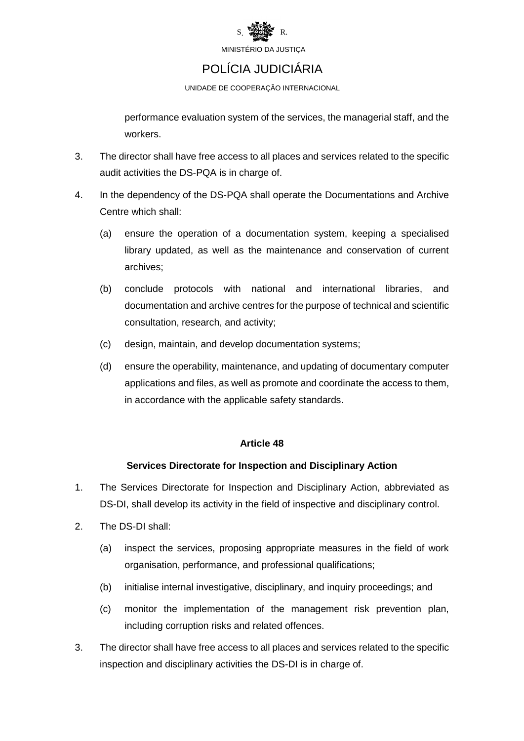

# POLÍCIA JUDICIÁRIA

UNIDADE DE COOPERAÇÃO INTERNACIONAL

performance evaluation system of the services, the managerial staff, and the workers.

- 3. The director shall have free access to all places and services related to the specific audit activities the DS-PQA is in charge of.
- 4. In the dependency of the DS-PQA shall operate the Documentations and Archive Centre which shall:
	- (a) ensure the operation of a documentation system, keeping a specialised library updated, as well as the maintenance and conservation of current archives;
	- (b) conclude protocols with national and international libraries, and documentation and archive centres for the purpose of technical and scientific consultation, research, and activity;
	- (c) design, maintain, and develop documentation systems;
	- (d) ensure the operability, maintenance, and updating of documentary computer applications and files, as well as promote and coordinate the access to them, in accordance with the applicable safety standards.

#### **Article 48**

#### **Services Directorate for Inspection and Disciplinary Action**

- 1. The Services Directorate for Inspection and Disciplinary Action, abbreviated as DS-DI, shall develop its activity in the field of inspective and disciplinary control.
- 2. The DS-DI shall:
	- (a) inspect the services, proposing appropriate measures in the field of work organisation, performance, and professional qualifications;
	- (b) initialise internal investigative, disciplinary, and inquiry proceedings; and
	- (c) monitor the implementation of the management risk prevention plan, including corruption risks and related offences.
- 3. The director shall have free access to all places and services related to the specific inspection and disciplinary activities the DS-DI is in charge of.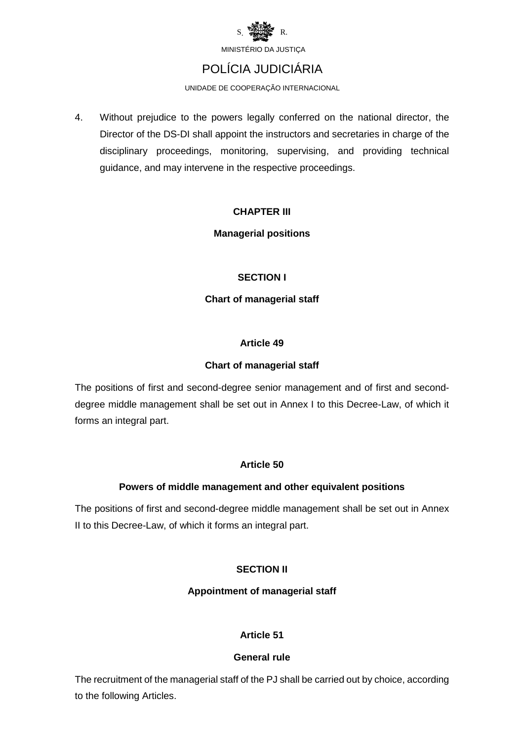

## POLÍCIA JUDICIÁRIA

UNIDADE DE COOPERAÇÃO INTERNACIONAL

4. Without prejudice to the powers legally conferred on the national director, the Director of the DS-DI shall appoint the instructors and secretaries in charge of the disciplinary proceedings, monitoring, supervising, and providing technical guidance, and may intervene in the respective proceedings.

#### **CHAPTER III**

#### **Managerial positions**

#### **SECTION I**

#### **Chart of managerial staff**

#### **Article 49**

#### **Chart of managerial staff**

The positions of first and second-degree senior management and of first and seconddegree middle management shall be set out in Annex I to this Decree-Law, of which it forms an integral part.

#### **Article 50**

#### **Powers of middle management and other equivalent positions**

The positions of first and second-degree middle management shall be set out in Annex II to this Decree-Law, of which it forms an integral part.

#### **SECTION II**

#### **Appointment of managerial staff**

#### **Article 51**

#### **General rule**

The recruitment of the managerial staff of the PJ shall be carried out by choice, according to the following Articles.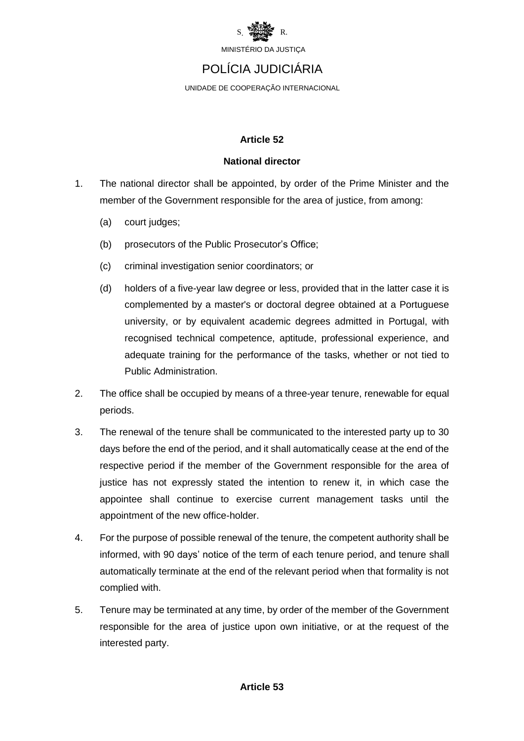

### POLÍCIA JUDICIÁRIA

UNIDADE DE COOPERAÇÃO INTERNACIONAL

#### **Article 52**

#### **National director**

- 1. The national director shall be appointed, by order of the Prime Minister and the member of the Government responsible for the area of justice, from among:
	- (a) court judges;
	- (b) prosecutors of the Public Prosecutor's Office;
	- (c) criminal investigation senior coordinators; or
	- (d) holders of a five-year law degree or less, provided that in the latter case it is complemented by a master's or doctoral degree obtained at a Portuguese university, or by equivalent academic degrees admitted in Portugal, with recognised technical competence, aptitude, professional experience, and adequate training for the performance of the tasks, whether or not tied to Public Administration.
- 2. The office shall be occupied by means of a three-year tenure, renewable for equal periods.
- 3. The renewal of the tenure shall be communicated to the interested party up to 30 days before the end of the period, and it shall automatically cease at the end of the respective period if the member of the Government responsible for the area of justice has not expressly stated the intention to renew it, in which case the appointee shall continue to exercise current management tasks until the appointment of the new office-holder.
- 4. For the purpose of possible renewal of the tenure, the competent authority shall be informed, with 90 days' notice of the term of each tenure period, and tenure shall automatically terminate at the end of the relevant period when that formality is not complied with.
- 5. Tenure may be terminated at any time, by order of the member of the Government responsible for the area of justice upon own initiative, or at the request of the interested party.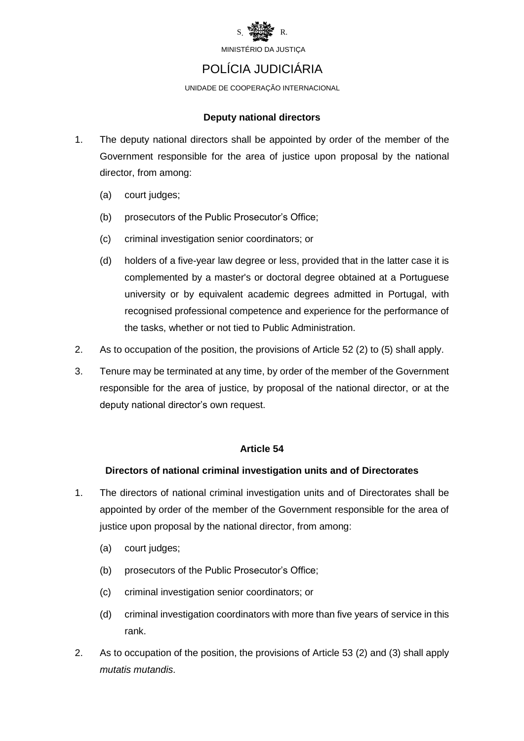

### POLÍCIA JUDICIÁRIA

UNIDADE DE COOPERAÇÃO INTERNACIONAL

#### **Deputy national directors**

- 1. The deputy national directors shall be appointed by order of the member of the Government responsible for the area of justice upon proposal by the national director, from among:
	- (a) court judges;
	- (b) prosecutors of the Public Prosecutor's Office;
	- (c) criminal investigation senior coordinators; or
	- (d) holders of a five-year law degree or less, provided that in the latter case it is complemented by a master's or doctoral degree obtained at a Portuguese university or by equivalent academic degrees admitted in Portugal, with recognised professional competence and experience for the performance of the tasks, whether or not tied to Public Administration.
- 2. As to occupation of the position, the provisions of Article 52 (2) to (5) shall apply.
- 3. Tenure may be terminated at any time, by order of the member of the Government responsible for the area of justice, by proposal of the national director, or at the deputy national director's own request.

#### **Article 54**

#### **Directors of national criminal investigation units and of Directorates**

- 1. The directors of national criminal investigation units and of Directorates shall be appointed by order of the member of the Government responsible for the area of justice upon proposal by the national director, from among:
	- (a) court judges;
	- (b) prosecutors of the Public Prosecutor's Office;
	- (c) criminal investigation senior coordinators; or
	- (d) criminal investigation coordinators with more than five years of service in this rank.
- 2. As to occupation of the position, the provisions of Article 53 (2) and (3) shall apply *mutatis mutandis*.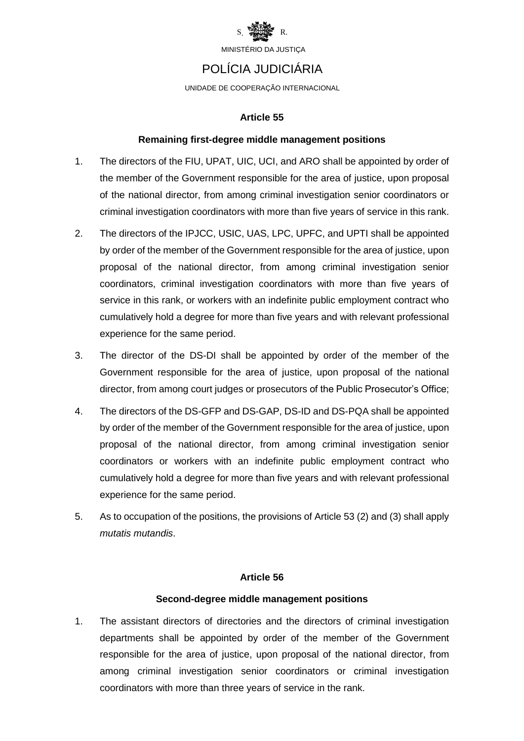

### POLÍCIA JUDICIÁRIA

UNIDADE DE COOPERAÇÃO INTERNACIONAL

#### **Article 55**

#### **Remaining first-degree middle management positions**

- 1. The directors of the FIU, UPAT, UIC, UCI, and ARO shall be appointed by order of the member of the Government responsible for the area of justice, upon proposal of the national director, from among criminal investigation senior coordinators or criminal investigation coordinators with more than five years of service in this rank.
- 2. The directors of the IPJCC, USIC, UAS, LPC, UPFC, and UPTI shall be appointed by order of the member of the Government responsible for the area of justice, upon proposal of the national director, from among criminal investigation senior coordinators, criminal investigation coordinators with more than five years of service in this rank, or workers with an indefinite public employment contract who cumulatively hold a degree for more than five years and with relevant professional experience for the same period.
- 3. The director of the DS-DI shall be appointed by order of the member of the Government responsible for the area of justice, upon proposal of the national director, from among court judges or prosecutors of the Public Prosecutor's Office;
- 4. The directors of the DS-GFP and DS-GAP, DS-ID and DS-PQA shall be appointed by order of the member of the Government responsible for the area of justice, upon proposal of the national director, from among criminal investigation senior coordinators or workers with an indefinite public employment contract who cumulatively hold a degree for more than five years and with relevant professional experience for the same period.
- 5. As to occupation of the positions, the provisions of Article 53 (2) and (3) shall apply *mutatis mutandis*.

#### **Article 56**

#### **Second-degree middle management positions**

1. The assistant directors of directories and the directors of criminal investigation departments shall be appointed by order of the member of the Government responsible for the area of justice, upon proposal of the national director, from among criminal investigation senior coordinators or criminal investigation coordinators with more than three years of service in the rank.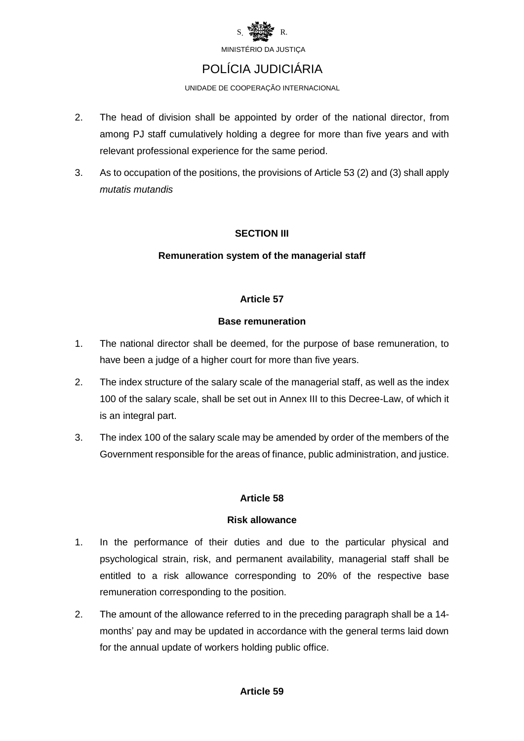

### POLÍCIA JUDICIÁRIA

UNIDADE DE COOPERAÇÃO INTERNACIONAL

- 2. The head of division shall be appointed by order of the national director, from among PJ staff cumulatively holding a degree for more than five years and with relevant professional experience for the same period.
- 3. As to occupation of the positions, the provisions of Article 53 (2) and (3) shall apply *mutatis mutandis*

#### **SECTION III**

#### **Remuneration system of the managerial staff**

#### **Article 57**

#### **Base remuneration**

- 1. The national director shall be deemed, for the purpose of base remuneration, to have been a judge of a higher court for more than five years.
- 2. The index structure of the salary scale of the managerial staff, as well as the index 100 of the salary scale, shall be set out in Annex III to this Decree-Law, of which it is an integral part.
- 3. The index 100 of the salary scale may be amended by order of the members of the Government responsible for the areas of finance, public administration, and justice.

#### **Article 58**

#### **Risk allowance**

- 1. In the performance of their duties and due to the particular physical and psychological strain, risk, and permanent availability, managerial staff shall be entitled to a risk allowance corresponding to 20% of the respective base remuneration corresponding to the position.
- 2. The amount of the allowance referred to in the preceding paragraph shall be a 14 months' pay and may be updated in accordance with the general terms laid down for the annual update of workers holding public office.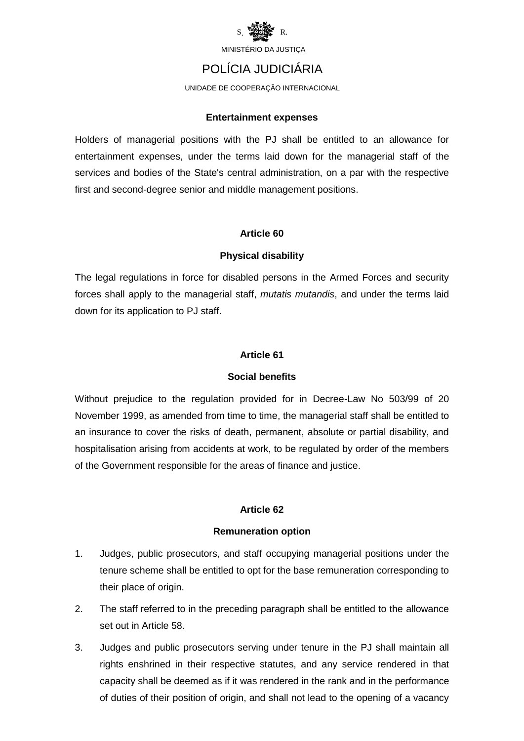

### POLÍCIA JUDICIÁRIA

UNIDADE DE COOPERAÇÃO INTERNACIONAL

#### **Entertainment expenses**

Holders of managerial positions with the PJ shall be entitled to an allowance for entertainment expenses, under the terms laid down for the managerial staff of the services and bodies of the State's central administration, on a par with the respective first and second-degree senior and middle management positions.

#### **Article 60**

#### **Physical disability**

The legal regulations in force for disabled persons in the Armed Forces and security forces shall apply to the managerial staff, *mutatis mutandis*, and under the terms laid down for its application to PJ staff.

#### **Article 61**

#### **Social benefits**

Without prejudice to the regulation provided for in Decree-Law No 503/99 of 20 November 1999, as amended from time to time, the managerial staff shall be entitled to an insurance to cover the risks of death, permanent, absolute or partial disability, and hospitalisation arising from accidents at work, to be regulated by order of the members of the Government responsible for the areas of finance and justice.

#### **Article 62**

#### **Remuneration option**

- 1. Judges, public prosecutors, and staff occupying managerial positions under the tenure scheme shall be entitled to opt for the base remuneration corresponding to their place of origin.
- 2. The staff referred to in the preceding paragraph shall be entitled to the allowance set out in Article 58.
- 3. Judges and public prosecutors serving under tenure in the PJ shall maintain all rights enshrined in their respective statutes, and any service rendered in that capacity shall be deemed as if it was rendered in the rank and in the performance of duties of their position of origin, and shall not lead to the opening of a vacancy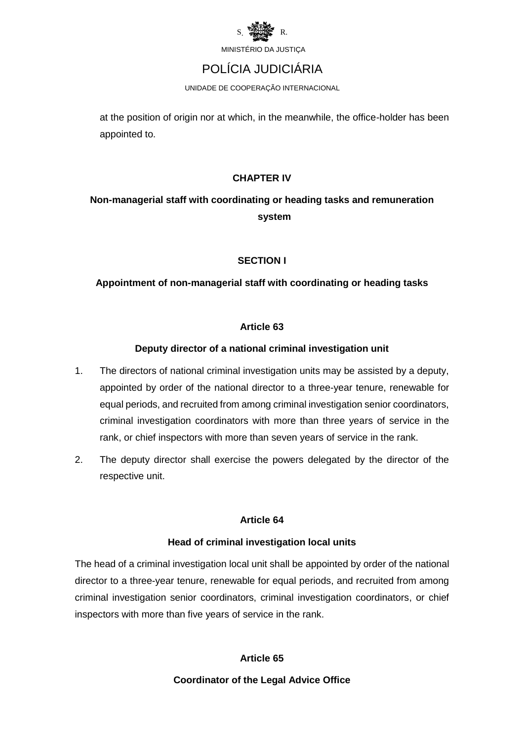

### POLÍCIA JUDICIÁRIA

UNIDADE DE COOPERAÇÃO INTERNACIONAL

at the position of origin nor at which, in the meanwhile, the office-holder has been appointed to.

#### **CHAPTER IV**

### **Non-managerial staff with coordinating or heading tasks and remuneration system**

#### **SECTION I**

#### **Appointment of non-managerial staff with coordinating or heading tasks**

#### **Article 63**

#### **Deputy director of a national criminal investigation unit**

- 1. The directors of national criminal investigation units may be assisted by a deputy, appointed by order of the national director to a three-year tenure, renewable for equal periods, and recruited from among criminal investigation senior coordinators, criminal investigation coordinators with more than three years of service in the rank, or chief inspectors with more than seven years of service in the rank.
- 2. The deputy director shall exercise the powers delegated by the director of the respective unit.

#### **Article 64**

#### **Head of criminal investigation local units**

The head of a criminal investigation local unit shall be appointed by order of the national director to a three-year tenure, renewable for equal periods, and recruited from among criminal investigation senior coordinators, criminal investigation coordinators, or chief inspectors with more than five years of service in the rank.

#### **Article 65**

#### **Coordinator of the Legal Advice Office**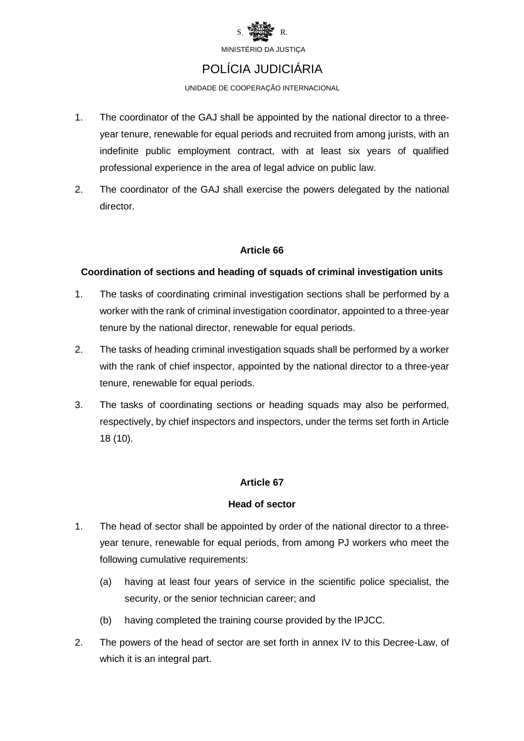

# POLÍCIA JUDICIÁRIA

UNIDADE DE COOPERAÇÃO INTERNACIONAL

- 1. The coordinator of the GAJ shall be appointed by the national director to a threeyear tenure, renewable for equal periods and recruited from among jurists, with an indefinite public employment contract, with at least six years of qualified professional experience in the area of legal advice on public law.
- 2. The coordinator of the GAJ shall exercise the powers delegated by the national director.

#### **Article 66**

#### **Coordination of sections and heading of squads of criminal investigation units**

- 1. The tasks of coordinating criminal investigation sections shall be performed by a worker with the rank of criminal investigation coordinator, appointed to a three-year tenure by the national director, renewable for equal periods.
- 2. The tasks of heading criminal investigation squads shall be performed by a worker with the rank of chief inspector, appointed by the national director to a three-year tenure, renewable for equal periods.
- 3. The tasks of coordinating sections or heading squads may also be performed, respectively, by chief inspectors and inspectors, under the terms set forth in Article 18 (10).

#### **Article 67**

#### **Head of sector**

- 1. The head of sector shall be appointed by order of the national director to a threeyear tenure, renewable for equal periods, from among PJ workers who meet the following cumulative requirements:
	- (a) having at least four years of service in the scientific police specialist, the security, or the senior technician career; and
	- (b) having completed the training course provided by the IPJCC.
- 2. The powers of the head of sector are set forth in annex IV to this Decree-Law, of which it is an integral part.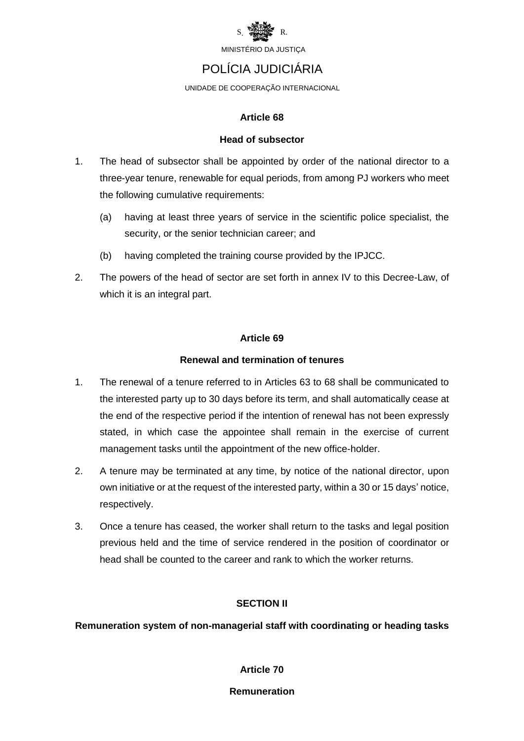

### POLÍCIA JUDICIÁRIA

UNIDADE DE COOPERAÇÃO INTERNACIONAL

#### **Article 68**

#### **Head of subsector**

- 1. The head of subsector shall be appointed by order of the national director to a three-year tenure, renewable for equal periods, from among PJ workers who meet the following cumulative requirements:
	- (a) having at least three years of service in the scientific police specialist, the security, or the senior technician career; and
	- (b) having completed the training course provided by the IPJCC.
- 2. The powers of the head of sector are set forth in annex IV to this Decree-Law, of which it is an integral part.

#### **Article 69**

#### **Renewal and termination of tenures**

- 1. The renewal of a tenure referred to in Articles 63 to 68 shall be communicated to the interested party up to 30 days before its term, and shall automatically cease at the end of the respective period if the intention of renewal has not been expressly stated, in which case the appointee shall remain in the exercise of current management tasks until the appointment of the new office-holder.
- 2. A tenure may be terminated at any time, by notice of the national director, upon own initiative or at the request of the interested party, within a 30 or 15 days' notice, respectively.
- 3. Once a tenure has ceased, the worker shall return to the tasks and legal position previous held and the time of service rendered in the position of coordinator or head shall be counted to the career and rank to which the worker returns.

#### **SECTION II**

**Remuneration system of non-managerial staff with coordinating or heading tasks**

**Article 70**

#### **Remuneration**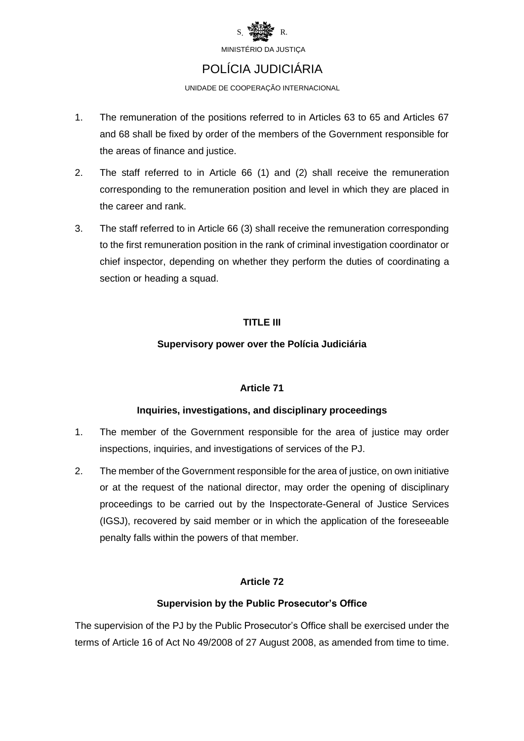

### POLÍCIA JUDICIÁRIA

UNIDADE DE COOPERAÇÃO INTERNACIONAL

- 1. The remuneration of the positions referred to in Articles 63 to 65 and Articles 67 and 68 shall be fixed by order of the members of the Government responsible for the areas of finance and justice.
- 2. The staff referred to in Article 66 (1) and (2) shall receive the remuneration corresponding to the remuneration position and level in which they are placed in the career and rank.
- 3. The staff referred to in Article 66 (3) shall receive the remuneration corresponding to the first remuneration position in the rank of criminal investigation coordinator or chief inspector, depending on whether they perform the duties of coordinating a section or heading a squad.

#### **TITLE III**

#### **Supervisory power over the Polícia Judiciária**

#### **Article 71**

#### **Inquiries, investigations, and disciplinary proceedings**

- 1. The member of the Government responsible for the area of justice may order inspections, inquiries, and investigations of services of the PJ.
- 2. The member of the Government responsible for the area of justice, on own initiative or at the request of the national director, may order the opening of disciplinary proceedings to be carried out by the Inspectorate-General of Justice Services (IGSJ), recovered by said member or in which the application of the foreseeable penalty falls within the powers of that member.

#### **Article 72**

#### **Supervision by the Public Prosecutor's Office**

The supervision of the PJ by the Public Prosecutor's Office shall be exercised under the terms of Article 16 of Act No 49/2008 of 27 August 2008, as amended from time to time.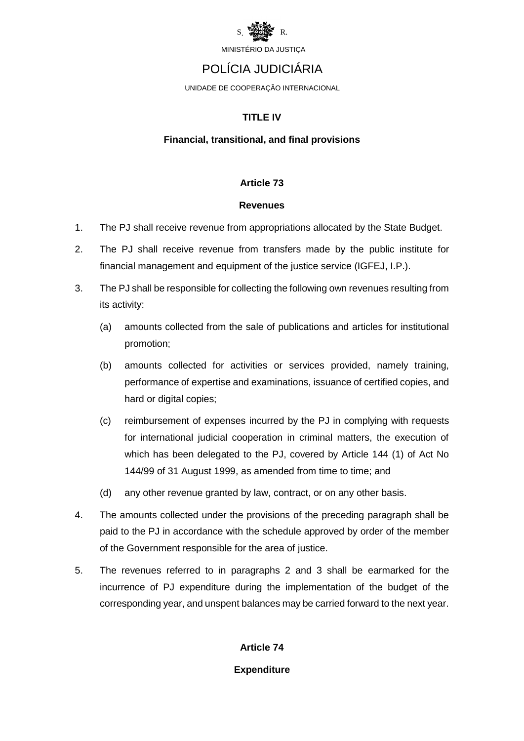

### POLÍCIA JUDICIÁRIA

UNIDADE DE COOPERAÇÃO INTERNACIONAL

#### **TITLE IV**

#### **Financial, transitional, and final provisions**

#### **Article 73**

#### **Revenues**

- 1. The PJ shall receive revenue from appropriations allocated by the State Budget.
- 2. The PJ shall receive revenue from transfers made by the public institute for financial management and equipment of the justice service (IGFEJ, I.P.).
- 3. The PJ shall be responsible for collecting the following own revenues resulting from its activity:
	- (a) amounts collected from the sale of publications and articles for institutional promotion;
	- (b) amounts collected for activities or services provided, namely training, performance of expertise and examinations, issuance of certified copies, and hard or digital copies;
	- (c) reimbursement of expenses incurred by the PJ in complying with requests for international judicial cooperation in criminal matters, the execution of which has been delegated to the PJ, covered by Article 144 (1) of Act No 144/99 of 31 August 1999, as amended from time to time; and
	- (d) any other revenue granted by law, contract, or on any other basis.
- 4. The amounts collected under the provisions of the preceding paragraph shall be paid to the PJ in accordance with the schedule approved by order of the member of the Government responsible for the area of justice.
- 5. The revenues referred to in paragraphs 2 and 3 shall be earmarked for the incurrence of PJ expenditure during the implementation of the budget of the corresponding year, and unspent balances may be carried forward to the next year.

#### **Article 74**

#### **Expenditure**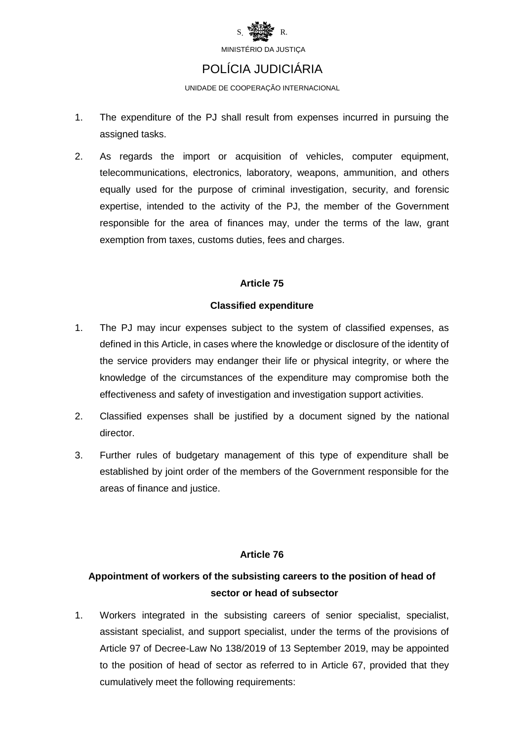

### POLÍCIA JUDICIÁRIA

UNIDADE DE COOPERAÇÃO INTERNACIONAL

- 1. The expenditure of the PJ shall result from expenses incurred in pursuing the assigned tasks.
- 2. As regards the import or acquisition of vehicles, computer equipment, telecommunications, electronics, laboratory, weapons, ammunition, and others equally used for the purpose of criminal investigation, security, and forensic expertise, intended to the activity of the PJ, the member of the Government responsible for the area of finances may, under the terms of the law, grant exemption from taxes, customs duties, fees and charges.

#### **Article 75**

#### **Classified expenditure**

- 1. The PJ may incur expenses subject to the system of classified expenses, as defined in this Article, in cases where the knowledge or disclosure of the identity of the service providers may endanger their life or physical integrity, or where the knowledge of the circumstances of the expenditure may compromise both the effectiveness and safety of investigation and investigation support activities.
- 2. Classified expenses shall be justified by a document signed by the national director.
- 3. Further rules of budgetary management of this type of expenditure shall be established by joint order of the members of the Government responsible for the areas of finance and justice.

#### **Article 76**

### **Appointment of workers of the subsisting careers to the position of head of sector or head of subsector**

1. Workers integrated in the subsisting careers of senior specialist, specialist, assistant specialist, and support specialist, under the terms of the provisions of Article 97 of Decree-Law No 138/2019 of 13 September 2019, may be appointed to the position of head of sector as referred to in Article 67, provided that they cumulatively meet the following requirements: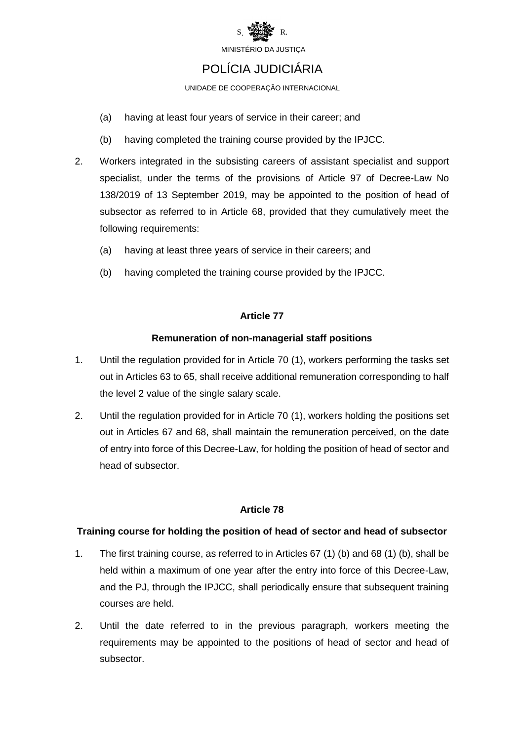

# POLÍCIA JUDICIÁRIA

UNIDADE DE COOPERAÇÃO INTERNACIONAL

- (a) having at least four years of service in their career; and
- (b) having completed the training course provided by the IPJCC.
- 2. Workers integrated in the subsisting careers of assistant specialist and support specialist, under the terms of the provisions of Article 97 of Decree-Law No 138/2019 of 13 September 2019, may be appointed to the position of head of subsector as referred to in Article 68, provided that they cumulatively meet the following requirements:
	- (a) having at least three years of service in their careers; and
	- (b) having completed the training course provided by the IPJCC.

#### **Article 77**

#### **Remuneration of non-managerial staff positions**

- 1. Until the regulation provided for in Article 70 (1), workers performing the tasks set out in Articles 63 to 65, shall receive additional remuneration corresponding to half the level 2 value of the single salary scale.
- 2. Until the regulation provided for in Article 70 (1), workers holding the positions set out in Articles 67 and 68, shall maintain the remuneration perceived, on the date of entry into force of this Decree-Law, for holding the position of head of sector and head of subsector.

#### **Article 78**

#### **Training course for holding the position of head of sector and head of subsector**

- 1. The first training course, as referred to in Articles 67 (1) (b) and 68 (1) (b), shall be held within a maximum of one year after the entry into force of this Decree-Law, and the PJ, through the IPJCC, shall periodically ensure that subsequent training courses are held.
- 2. Until the date referred to in the previous paragraph, workers meeting the requirements may be appointed to the positions of head of sector and head of subsector.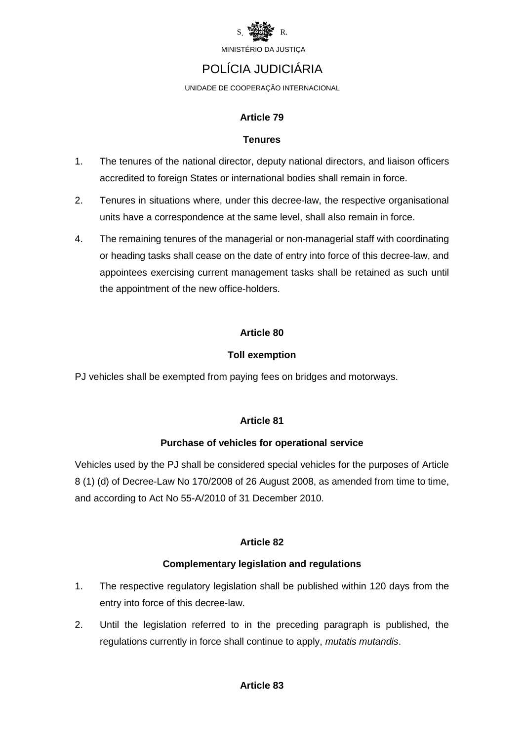

### POLÍCIA JUDICIÁRIA

UNIDADE DE COOPERAÇÃO INTERNACIONAL

#### **Article 79**

#### **Tenures**

- 1. The tenures of the national director, deputy national directors, and liaison officers accredited to foreign States or international bodies shall remain in force.
- 2. Tenures in situations where, under this decree-law, the respective organisational units have a correspondence at the same level, shall also remain in force.
- 4. The remaining tenures of the managerial or non-managerial staff with coordinating or heading tasks shall cease on the date of entry into force of this decree-law, and appointees exercising current management tasks shall be retained as such until the appointment of the new office-holders.

#### **Article 80**

#### **Toll exemption**

PJ vehicles shall be exempted from paying fees on bridges and motorways.

#### **Article 81**

#### **Purchase of vehicles for operational service**

Vehicles used by the PJ shall be considered special vehicles for the purposes of Article 8 (1) (d) of Decree-Law No 170/2008 of 26 August 2008, as amended from time to time, and according to Act No 55-A/2010 of 31 December 2010.

#### **Article 82**

#### **Complementary legislation and regulations**

- 1. The respective regulatory legislation shall be published within 120 days from the entry into force of this decree-law.
- 2. Until the legislation referred to in the preceding paragraph is published, the regulations currently in force shall continue to apply, *mutatis mutandis*.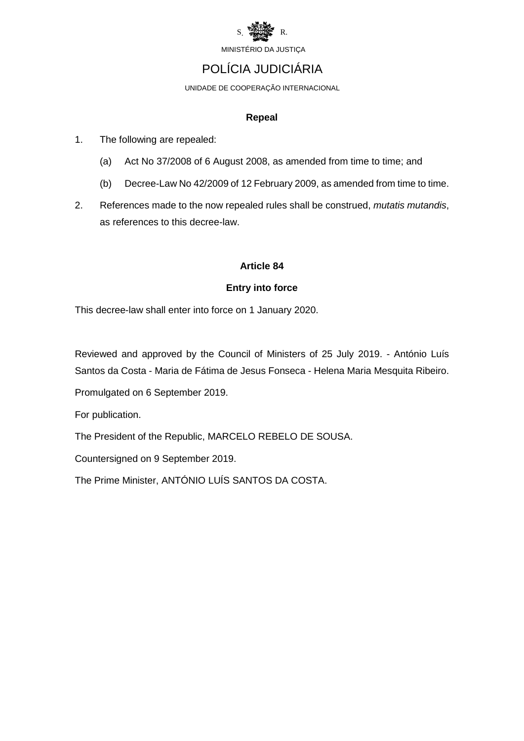

### POLÍCIA JUDICIÁRIA

UNIDADE DE COOPERAÇÃO INTERNACIONAL

#### **Repeal**

- 1. The following are repealed:
	- (a) Act No 37/2008 of 6 August 2008, as amended from time to time; and
	- (b) Decree-Law No 42/2009 of 12 February 2009, as amended from time to time.
- 2. References made to the now repealed rules shall be construed, *mutatis mutandis*, as references to this decree-law.

#### **Article 84**

#### **Entry into force**

This decree-law shall enter into force on 1 January 2020.

Reviewed and approved by the Council of Ministers of 25 July 2019. - António Luís Santos da Costa - Maria de Fátima de Jesus Fonseca - Helena Maria Mesquita Ribeiro.

Promulgated on 6 September 2019.

For publication.

The President of the Republic, MARCELO REBELO DE SOUSA.

Countersigned on 9 September 2019.

The Prime Minister, ANTÓNIO LUÍS SANTOS DA COSTA.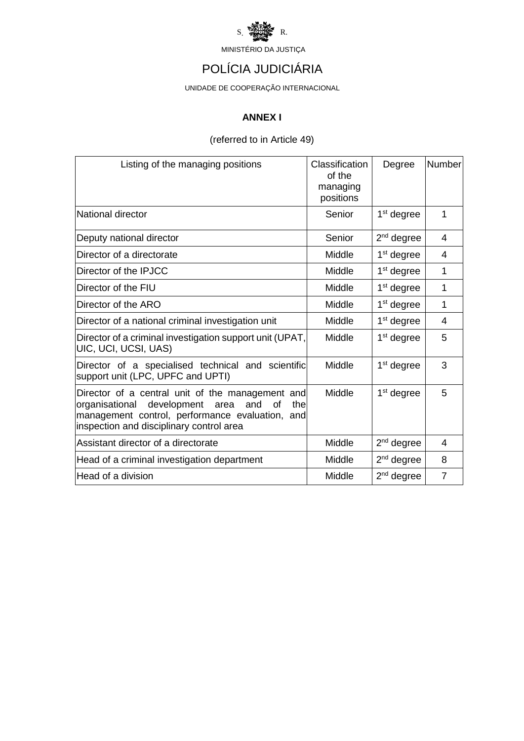

# POLÍCIA JUDICIÁRIA

UNIDADE DE COOPERAÇÃO INTERNACIONAL

#### **ANNEX I**

#### (referred to in Article 49)

| Listing of the managing positions                                                                                                                                                                            | Classification<br>of the<br>managing<br>positions | Degree                 | <b>Number</b>  |
|--------------------------------------------------------------------------------------------------------------------------------------------------------------------------------------------------------------|---------------------------------------------------|------------------------|----------------|
| National director                                                                                                                                                                                            | Senior                                            | $1st$ degree           | 1              |
| Deputy national director                                                                                                                                                                                     | Senior                                            | $2nd$ degree           | 4              |
| Director of a directorate                                                                                                                                                                                    | Middle                                            | $1st$ degree           | 4              |
| Director of the IPJCC                                                                                                                                                                                        | Middle                                            | $1st$ degree           | 1              |
| Director of the FIU                                                                                                                                                                                          | Middle                                            | $1st$ degree           | 1              |
| Director of the ARO                                                                                                                                                                                          | Middle                                            | $1st$ degree           | 1              |
| Director of a national criminal investigation unit                                                                                                                                                           | Middle                                            | $1st$ degree           | 4              |
| Director of a criminal investigation support unit (UPAT,<br>UIC, UCI, UCSI, UAS)                                                                                                                             | Middle                                            | 1 <sup>st</sup> degree | 5              |
| Director of a specialised technical and scientific<br>support unit (LPC, UPFC and UPTI)                                                                                                                      | Middle                                            | $1st$ degree           | 3              |
| Director of a central unit of the management and<br>organisational<br>development<br>and<br>the<br>οf<br>area<br>management control, performance evaluation, and<br>inspection and disciplinary control area | Middle                                            | $1st$ degree           | 5              |
| Assistant director of a directorate                                                                                                                                                                          | Middle                                            | $2nd$ degree           | 4              |
| Head of a criminal investigation department                                                                                                                                                                  | Middle                                            | $2nd$ degree           | 8              |
| Head of a division                                                                                                                                                                                           | Middle                                            | $2nd$ degree           | $\overline{7}$ |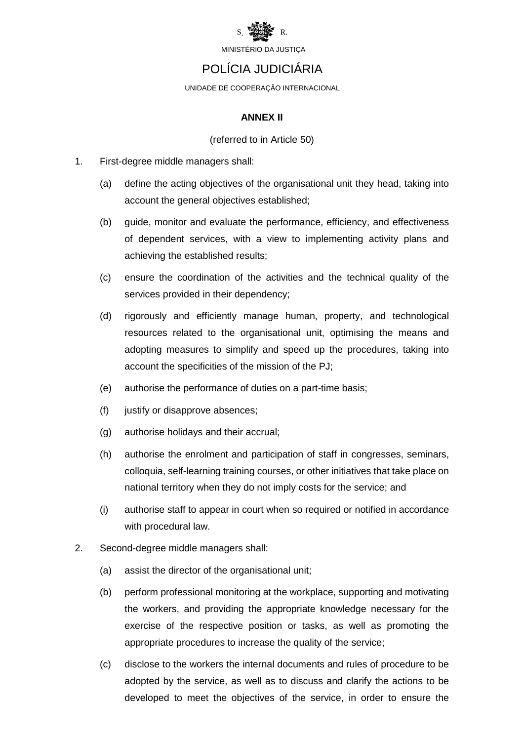

### POLÍCIA JUDICIÁRIA

UNIDADE DE COOPERAÇÃO INTERNACIONAL

#### **ANNEX II**

#### (referred to in Article 50)

- 1. First-degree middle managers shall:
	- (a) define the acting objectives of the organisational unit they head, taking into account the general objectives established;
	- (b) guide, monitor and evaluate the performance, efficiency, and effectiveness of dependent services, with a view to implementing activity plans and achieving the established results;
	- (c) ensure the coordination of the activities and the technical quality of the services provided in their dependency;
	- (d) rigorously and efficiently manage human, property, and technological resources related to the organisational unit, optimising the means and adopting measures to simplify and speed up the procedures, taking into account the specificities of the mission of the PJ;
	- (e) authorise the performance of duties on a part-time basis;
	- (f) justify or disapprove absences;
	- (g) authorise holidays and their accrual;
	- (h) authorise the enrolment and participation of staff in congresses, seminars, colloquia, self-learning training courses, or other initiatives that take place on national territory when they do not imply costs for the service; and
	- (i) authorise staff to appear in court when so required or notified in accordance with procedural law.
- 2. Second-degree middle managers shall:
	- (a) assist the director of the organisational unit;
	- (b) perform professional monitoring at the workplace, supporting and motivating the workers, and providing the appropriate knowledge necessary for the exercise of the respective position or tasks, as well as promoting the appropriate procedures to increase the quality of the service;
	- (c) disclose to the workers the internal documents and rules of procedure to be adopted by the service, as well as to discuss and clarify the actions to be developed to meet the objectives of the service, in order to ensure the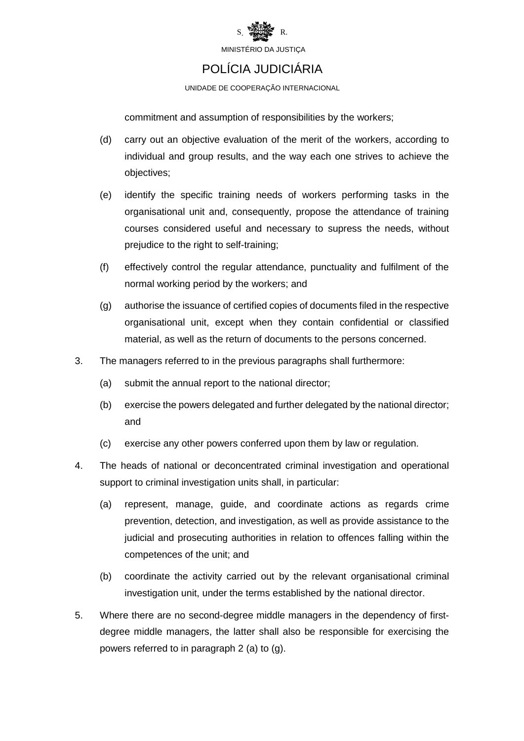

### POLÍCIA JUDICIÁRIA

UNIDADE DE COOPERAÇÃO INTERNACIONAL

commitment and assumption of responsibilities by the workers;

- (d) carry out an objective evaluation of the merit of the workers, according to individual and group results, and the way each one strives to achieve the objectives;
- (e) identify the specific training needs of workers performing tasks in the organisational unit and, consequently, propose the attendance of training courses considered useful and necessary to supress the needs, without prejudice to the right to self-training;
- (f) effectively control the regular attendance, punctuality and fulfilment of the normal working period by the workers; and
- (g) authorise the issuance of certified copies of documents filed in the respective organisational unit, except when they contain confidential or classified material, as well as the return of documents to the persons concerned.
- 3. The managers referred to in the previous paragraphs shall furthermore:
	- (a) submit the annual report to the national director;
	- (b) exercise the powers delegated and further delegated by the national director; and
	- (c) exercise any other powers conferred upon them by law or regulation.
- 4. The heads of national or deconcentrated criminal investigation and operational support to criminal investigation units shall, in particular:
	- (a) represent, manage, guide, and coordinate actions as regards crime prevention, detection, and investigation, as well as provide assistance to the judicial and prosecuting authorities in relation to offences falling within the competences of the unit; and
	- (b) coordinate the activity carried out by the relevant organisational criminal investigation unit, under the terms established by the national director.
- 5. Where there are no second-degree middle managers in the dependency of firstdegree middle managers, the latter shall also be responsible for exercising the powers referred to in paragraph 2 (a) to (g).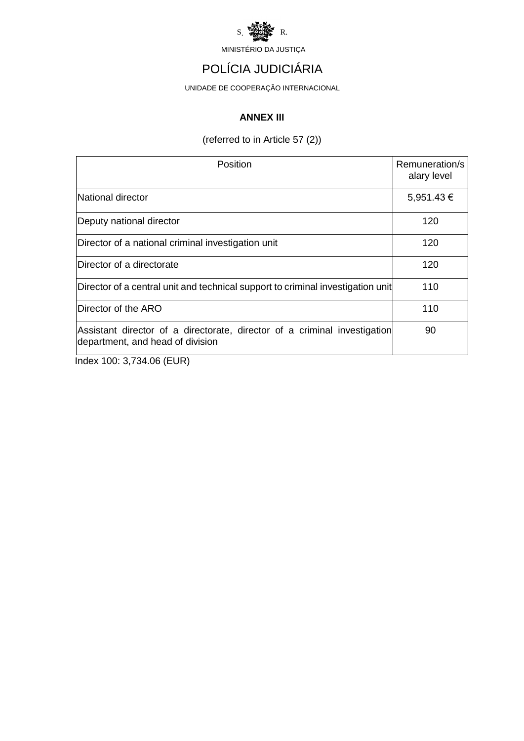

# POLÍCIA JUDICIÁRIA

UNIDADE DE COOPERAÇÃO INTERNACIONAL

#### **ANNEX III**

(referred to in Article 57 (2))

| Position                                                                                                      | Remuneration/s<br>alary level |  |
|---------------------------------------------------------------------------------------------------------------|-------------------------------|--|
| National director                                                                                             | $5,951.43 \in$                |  |
| Deputy national director                                                                                      | 120                           |  |
| Director of a national criminal investigation unit                                                            | 120                           |  |
| Director of a directorate                                                                                     | 120                           |  |
| Director of a central unit and technical support to criminal investigation unit                               | 110                           |  |
| Director of the ARO                                                                                           | 110                           |  |
| Assistant director of a directorate, director of a criminal investigation<br>department, and head of division | 90                            |  |
| Index 100: 3 734 06 (FHR)                                                                                     |                               |  |

Index 100: 3,734.06 (EUR)